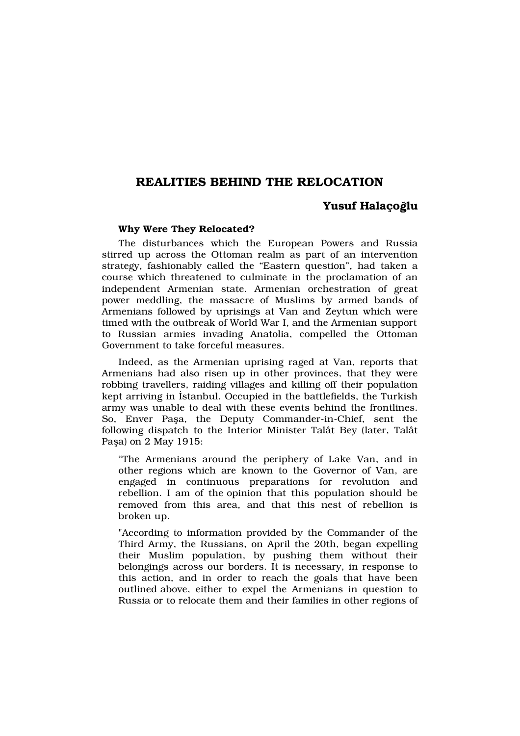# REALITIES BEHIND THE RELOCATION

# Yusuf Halacoğlu

# Why Were They Relocated?

The disturbances which the European Powers and Russia stirred up across the Ottoman realm as part of an intervention strategy, fashionably called the "Eastern question", had taken a course which threatened to culminate in the proclamation of an independent Armenian state. Armenian orchestration of great power meddling, the massacre of Muslims by armed bands of Armenians followed by uprisings at Van and Zeytun which were timed with the outbreak of World War I, and the Armenian support to Russian armies invading Anatolia, compelled the Ottoman Government to take forceful measures.

Indeed, as the Armenian uprising raged at Van, reports that Armenians had also risen up in other provinces, that they were robbing travellers, raiding villages and killing off their population kept arriving in ‹stanbul. Occupied in the battlefields, the Turkish army was unable to deal with these events behind the frontlines. So, Enver Pafla, the Deputy Commander-in-Chief, sent the following dispatch to the Interior Minister Talât Bey (later, Talât Pafla) on 2 May 1915:

"The Armenians around the periphery of Lake Van, and in other regions which are known to the Governor of Van, are engaged in continuous preparations for revolution and rebellion. I am of the opinion that this population should be removed from this area, and that this nest of rebellion is broken up.

"According to information provided by the Commander of the Third Army, the Russians, on April the 20th, began expelling their Muslim population, by pushing them without their belongings across our borders. It is necessary, in response to this action, and in order to reach the goals that have been outlined above, either to expel the Armenians in question to Russia or to relocate them and their families in other regions of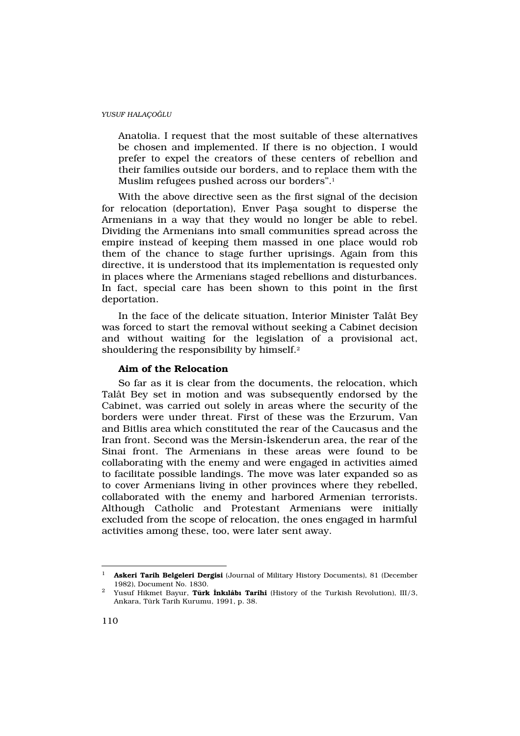Anatolia. I request that the most suitable of these alternatives be chosen and implemented. If there is no objection, I would prefer to expel the creators of these centers of rebellion and their families outside our borders, and to replace them with the Muslim refugees pushed across our borders".<sup>1</sup>

With the above directive seen as the first signal of the decision for relocation (deportation), Enver Pafla sought to disperse the Armenians in a way that they would no longer be able to rebel. Dividing the Armenians into small communities spread across the empire instead of keeping them massed in one place would rob them of the chance to stage further uprisings. Again from this directive, it is understood that its implementation is requested only in places where the Armenians staged rebellions and disturbances. In fact, special care has been shown to this point in the first deportation.

In the face of the delicate situation, Interior Minister Talât Bey was forced to start the removal without seeking a Cabinet decision and without waiting for the legislation of a provisional act, shouldering the responsibility by himself.<sup>2</sup>

# Aim of the Relocation

So far as it is clear from the documents, the relocation, which Talât Bey set in motion and was subsequently endorsed by the Cabinet, was carried out solely in areas where the security of the borders were under threat. First of these was the Erzurum, Van and Bitlis area which constituted the rear of the Caucasus and the Iran front. Second was the Mersin-‹skenderun area, the rear of the Sinai front. The Armenians in these areas were found to be collaborating with the enemy and were engaged in activities aimed to facilitate possible landings. The move was later expanded so as to cover Armenians living in other provinces where they rebelled, collaborated with the enemy and harbored Armenian terrorists. Although Catholic and Protestant Armenians were initially excluded from the scope of relocation, the ones engaged in harmful activities among these, too, were later sent away.

<sup>1</sup> Askeri Tarih Belgeleri Dergisi (Journal of Military History Documents), 81 (December 1982), Document No. 1830.

<sup>&</sup>lt;sup>2</sup> Yusuf Hikmet Bayur, **Türk nk lâb Tarihi** (History of the Turkish Revolution), III/3, Ankara, Türk Tarih Kurumu, 1991, p. 38.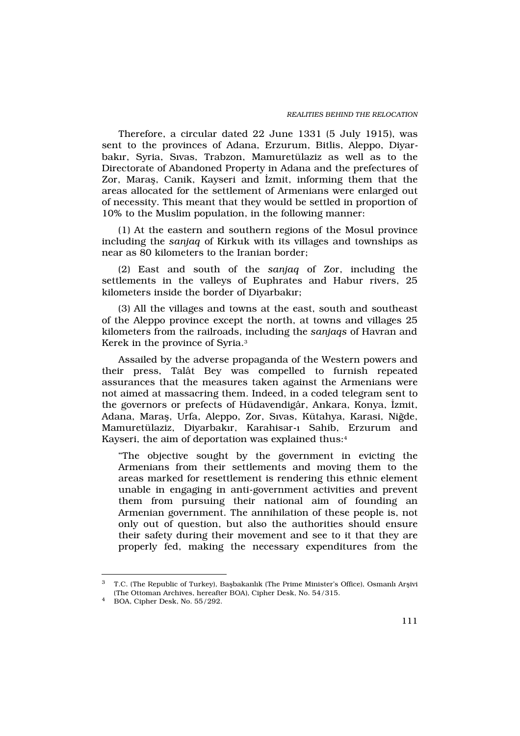Therefore, a circular dated 22 June 1331 (5 July 1915), was sent to the provinces of Adana, Erzurum, Bitlis, Aleppo, Diyarbak›r, Syria, S›vas, Trabzon, Mamuretülaziz as well as to the Directorate of Abandoned Property in Adana and the prefectures of Zor, Marafl, Canik, Kayseri and ‹zmit, informing them that the areas allocated for the settlement of Armenians were enlarged out of necessity. This meant that they would be settled in proportion of 10% to the Muslim population, in the following manner:

(1) At the eastern and southern regions of the Mosul province including the sanjaq of Kirkuk with its villages and townships as near as 80 kilometers to the Iranian border;

(2) East and south of the sanjaq of Zor, including the settlements in the valleys of Euphrates and Habur rivers, 25 kilometers inside the border of Diyarbak›r;

(3) All the villages and towns at the east, south and southeast of the Aleppo province except the north, at towns and villages 25 kilometers from the railroads, including the sanjaqs of Havran and Kerek in the province of Syria.<sup>3</sup>

Assailed by the adverse propaganda of the Western powers and their press, Talât Bey was compelled to furnish repeated assurances that the measures taken against the Armenians were not aimed at massacring them. Indeed, in a coded telegram sent to the governors or prefects of Hüdavendigâr, Ankara, Konya, ‹zmit, Adana, Marafl, Urfa, Aleppo, Zor, Syas, Kütahya, Karasi, Niğde, Mamuretülaziz, Diyarbak›r, Karahisar-› Sahib, Erzurum and Kayseri, the aim of deportation was explained thus:<sup>4</sup>

"The objective sought by the government in evicting the Armenians from their settlements and moving them to the areas marked for resettlement is rendering this ethnic element unable in engaging in anti-government activities and prevent them from pursuing their national aim of founding an Armenian government. The annihilation of these people is, not only out of question, but also the authorities should ensure their safety during their movement and see to it that they are properly fed, making the necessary expenditures from the

T.C. (The Republic of Turkey), Baflbakanlık (The Prime Minister's Office), Osmanlı Arflivi (The Ottoman Archives, hereafter BOA), Cipher Desk, No. 54/315.

<sup>4</sup> BOA, Cipher Desk, No. 55/292.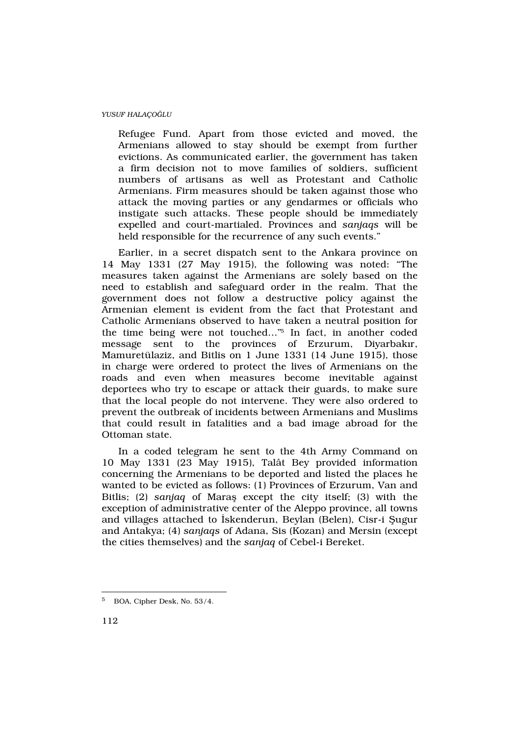Refugee Fund. Apart from those evicted and moved, the Armenians allowed to stay should be exempt from further evictions. As communicated earlier, the government has taken a firm decision not to move families of soldiers, sufficient numbers of artisans as well as Protestant and Catholic Armenians. Firm measures should be taken against those who attack the moving parties or any gendarmes or officials who instigate such attacks. These people should be immediately expelled and court-martialed. Provinces and sanjaqs will be held responsible for the recurrence of any such events."

Earlier, in a secret dispatch sent to the Ankara province on 14 May 1331 (27 May 1915), the following was noted: "The measures taken against the Armenians are solely based on the need to establish and safeguard order in the realm. That the government does not follow a destructive policy against the Armenian element is evident from the fact that Protestant and Catholic Armenians observed to have taken a neutral position for the time being were not touched…"<sup>5</sup> In fact, in another coded message sent to the provinces of Erzurum, Diyarbak›r, Mamuretülaziz, and Bitlis on 1 June 1331 (14 June 1915), those in charge were ordered to protect the lives of Armenians on the roads and even when measures become inevitable against deportees who try to escape or attack their guards, to make sure that the local people do not intervene. They were also ordered to prevent the outbreak of incidents between Armenians and Muslims that could result in fatalities and a bad image abroad for the Ottoman state.

In a coded telegram he sent to the 4th Army Command on 10 May 1331 (23 May 1915), Talât Bey provided information concerning the Armenians to be deported and listed the places he wanted to be evicted as follows: (1) Provinces of Erzurum, Van and Bitlis; (2) sanjaq of Marafl except the city itself; (3) with the exception of administrative center of the Aleppo province, all towns and villages attached to ‹skenderun, Beylan (Belen), Cisr-i fiugur and Antakya; (4) sanjaqs of Adana, Sis (Kozan) and Mersin (except the cities themselves) and the sanjaq of Cebel-i Bereket.

<sup>5</sup> BOA, Cipher Desk, No. 53/4.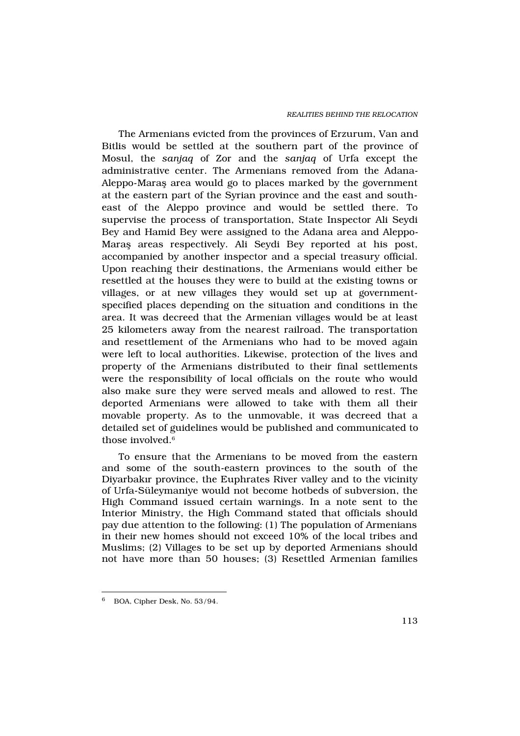The Armenians evicted from the provinces of Erzurum, Van and Bitlis would be settled at the southern part of the province of Mosul, the sanjaq of Zor and the sanjaq of Urfa except the administrative center. The Armenians removed from the Adana-Aleppo-Marafl area would go to places marked by the government at the eastern part of the Syrian province and the east and southeast of the Aleppo province and would be settled there. To supervise the process of transportation, State Inspector Ali Seydi Bey and Hamid Bey were assigned to the Adana area and Aleppo-Marafl areas respectively. Ali Seydi Bey reported at his post, accompanied by another inspector and a special treasury official. Upon reaching their destinations, the Armenians would either be resettled at the houses they were to build at the existing towns or villages, or at new villages they would set up at governmentspecified places depending on the situation and conditions in the area. It was decreed that the Armenian villages would be at least 25 kilometers away from the nearest railroad. The transportation and resettlement of the Armenians who had to be moved again were left to local authorities. Likewise, protection of the lives and property of the Armenians distributed to their final settlements were the responsibility of local officials on the route who would also make sure they were served meals and allowed to rest. The deported Armenians were allowed to take with them all their movable property. As to the unmovable, it was decreed that a detailed set of guidelines would be published and communicated to those involved.<sup>6</sup>

To ensure that the Armenians to be moved from the eastern and some of the south-eastern provinces to the south of the Diyarbak›r province, the Euphrates River valley and to the vicinity of Urfa-Süleymaniye would not become hotbeds of subversion, the High Command issued certain warnings. In a note sent to the Interior Ministry, the High Command stated that officials should pay due attention to the following: (1) The population of Armenians in their new homes should not exceed 10% of the local tribes and Muslims; (2) Villages to be set up by deported Armenians should not have more than 50 houses; (3) Resettled Armenian families

<sup>6</sup> BOA, Cipher Desk, No. 53/94.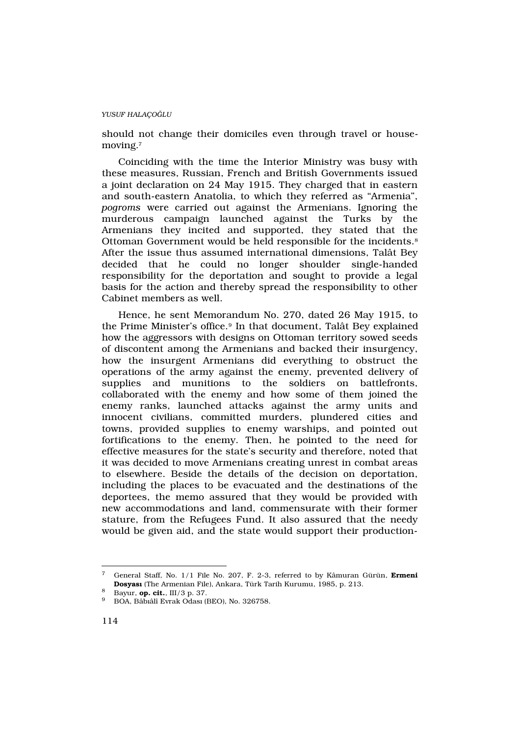should not change their domiciles even through travel or housemoving.<sup>7</sup>

Coinciding with the time the Interior Ministry was busy with these measures, Russian, French and British Governments issued a joint declaration on 24 May 1915. They charged that in eastern and south-eastern Anatolia, to which they referred as "Armenia", pogroms were carried out against the Armenians. Ignoring the murderous campaign launched against the Turks by the Armenians they incited and supported, they stated that the Ottoman Government would be held responsible for the incidents.<sup>8</sup> After the issue thus assumed international dimensions, Talât Bey decided that he could no longer shoulder single-handed responsibility for the deportation and sought to provide a legal basis for the action and thereby spread the responsibility to other Cabinet members as well.

Hence, he sent Memorandum No. 270, dated 26 May 1915, to the Prime Minister's office.<sup>9</sup> In that document, Talât Bey explained how the aggressors with designs on Ottoman territory sowed seeds of discontent among the Armenians and backed their insurgency, how the insurgent Armenians did everything to obstruct the operations of the army against the enemy, prevented delivery of supplies and munitions to the soldiers on battlefronts, collaborated with the enemy and how some of them joined the enemy ranks, launched attacks against the army units and innocent civilians, committed murders, plundered cities and towns, provided supplies to enemy warships, and pointed out fortifications to the enemy. Then, he pointed to the need for effective measures for the state's security and therefore, noted that it was decided to move Armenians creating unrest in combat areas to elsewhere. Beside the details of the decision on deportation, including the places to be evacuated and the destinations of the deportees, the memo assured that they would be provided with new accommodations and land, commensurate with their former stature, from the Refugees Fund. It also assured that the needy would be given aid, and the state would support their production-

General Staff, No. 1/1 File No. 207, F. 2-3, referred to by Kâmuran Gürün, Ermeni Dosyas› (The Armenian File), Ankara, Türk Tarih Kurumu, 1985, p. 213.

Bayur, **op. cit.**, III/3 p. 37.

<sup>9</sup> BOA, Bâb›âlî Evrak Odas› (BEO), No. 326758.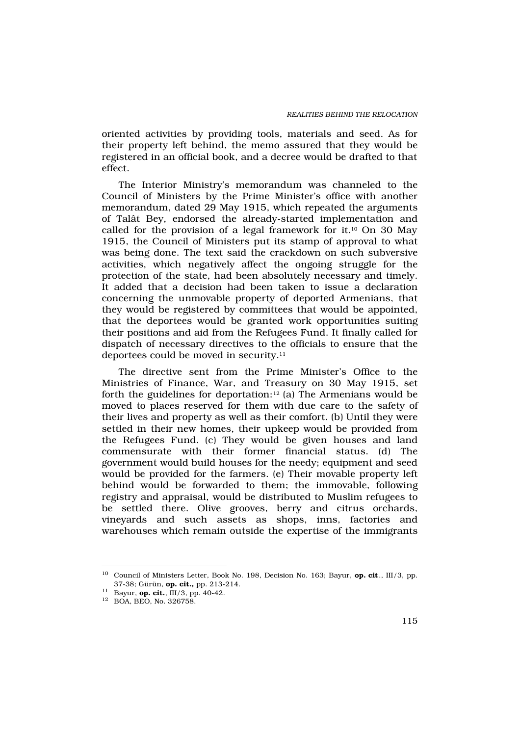oriented activities by providing tools, materials and seed. As for their property left behind, the memo assured that they would be registered in an official book, and a decree would be drafted to that effect.

The Interior Ministry's memorandum was channeled to the Council of Ministers by the Prime Minister's office with another memorandum, dated 29 May 1915, which repeated the arguments of Talât Bey, endorsed the already-started implementation and called for the provision of a legal framework for it.10 On 30 May 1915, the Council of Ministers put its stamp of approval to what was being done. The text said the crackdown on such subversive activities, which negatively affect the ongoing struggle for the protection of the state, had been absolutely necessary and timely. It added that a decision had been taken to issue a declaration concerning the unmovable property of deported Armenians, that they would be registered by committees that would be appointed, that the deportees would be granted work opportunities suiting their positions and aid from the Refugees Fund. It finally called for dispatch of necessary directives to the officials to ensure that the deportees could be moved in security.<sup>11</sup>

The directive sent from the Prime Minister's Office to the Ministries of Finance, War, and Treasury on 30 May 1915, set forth the guidelines for deportation: $12$  (a) The Armenians would be moved to places reserved for them with due care to the safety of their lives and property as well as their comfort. (b) Until they were settled in their new homes, their upkeep would be provided from the Refugees Fund. (c) They would be given houses and land commensurate with their former financial status. (d) The government would build houses for the needy; equipment and seed would be provided for the farmers. (e) Their movable property left behind would be forwarded to them; the immovable, following registry and appraisal, would be distributed to Muslim refugees to be settled there. Olive grooves, berry and citrus orchards, vineyards and such assets as shops, inns, factories and warehouses which remain outside the expertise of the immigrants

<sup>&</sup>lt;sup>10</sup> Council of Ministers Letter, Book No. 198, Decision No. 163; Bayur, op. cit., III/3, pp. 37-38; Gürün, op. cit., pp. 213-214.

<sup>&</sup>lt;sup>11</sup> Bayur, **op. cit.**,  $\overline{III/3}$ , pp. 40-42.

<sup>12</sup> BOA, BEO, No. 326758.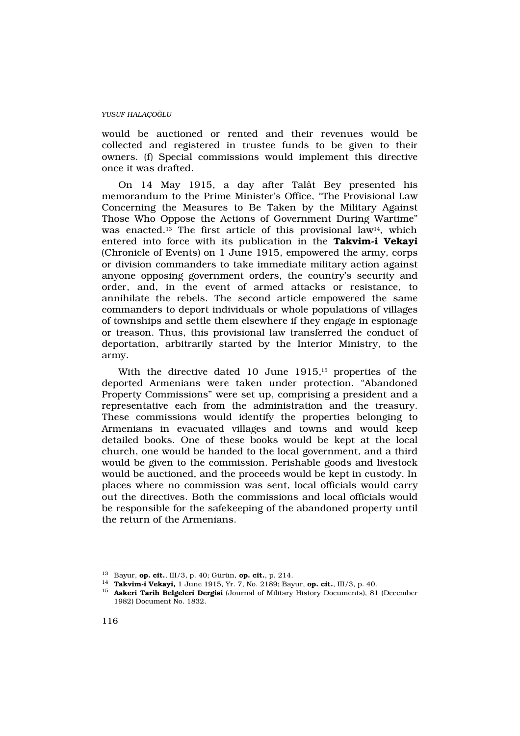would be auctioned or rented and their revenues would be collected and registered in trustee funds to be given to their owners. (f) Special commissions would implement this directive once it was drafted.

On 14 May 1915, a day after Talât Bey presented his memorandum to the Prime Minister's Office, "The Provisional Law Concerning the Measures to Be Taken by the Military Against Those Who Oppose the Actions of Government During Wartime" was enacted.<sup>13</sup> The first article of this provisional law<sup>14</sup>, which entered into force with its publication in the Takvim-i Vekayi (Chronicle of Events) on 1 June 1915, empowered the army, corps or division commanders to take immediate military action against anyone opposing government orders, the country's security and order, and, in the event of armed attacks or resistance, to annihilate the rebels. The second article empowered the same commanders to deport individuals or whole populations of villages of townships and settle them elsewhere if they engage in espionage or treason. Thus, this provisional law transferred the conduct of deportation, arbitrarily started by the Interior Ministry, to the army.

With the directive dated 10 June 1915,<sup>15</sup> properties of the deported Armenians were taken under protection. "Abandoned Property Commissions" were set up, comprising a president and a representative each from the administration and the treasury. These commissions would identify the properties belonging to Armenians in evacuated villages and towns and would keep detailed books. One of these books would be kept at the local church, one would be handed to the local government, and a third would be given to the commission. Perishable goods and livestock would be auctioned, and the proceeds would be kept in custody. In places where no commission was sent, local officials would carry out the directives. Both the commissions and local officials would be responsible for the safekeeping of the abandoned property until the return of the Armenians.

<sup>13</sup> Bayur, op. cit., III/3, p. 40; Gürün, op. cit., p. 214.

<sup>14</sup> Takvim-i Vekayi, 1 June 1915, Yr. 7, No. 2189; Bayur, op. cit., III/3, p. 40.

<sup>&</sup>lt;sup>15</sup> Askeri Tarih Belgeleri Dergisi (Journal of Military History Documents), 81 (December 1982) Document No. 1832.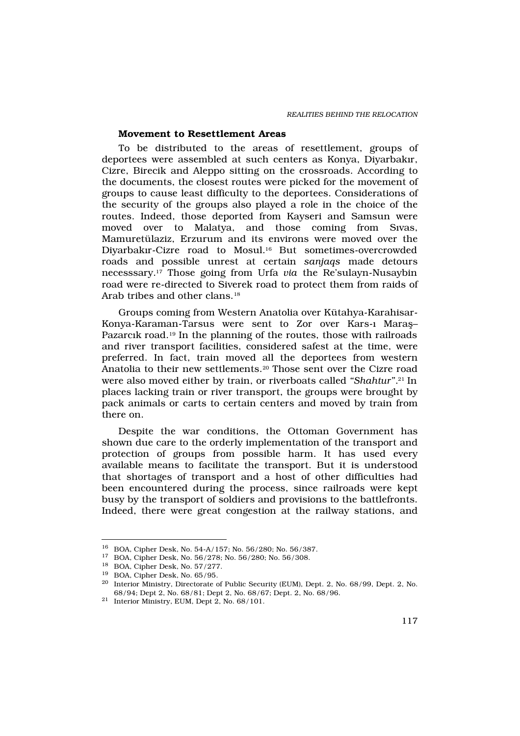### Movement to Resettlement Areas

To be distributed to the areas of resettlement, groups of deportees were assembled at such centers as Konya, Diyarbak›r, Cizre, Birecik and Aleppo sitting on the crossroads. According to the documents, the closest routes were picked for the movement of groups to cause least difficulty to the deportees. Considerations of the security of the groups also played a role in the choice of the routes. Indeed, those deported from Kayseri and Samsun were moved over to Malatya, and those coming from S›vas, Mamuretülaziz, Erzurum and its environs were moved over the Diyarbak›r-Cizre road to Mosul.16 But sometimes-overcrowded roads and possible unrest at certain sanjaqs made detours necesssary.17 Those going from Urfa via the Re'sulayn-Nusaybin road were re-directed to Siverek road to protect them from raids of Arab tribes and other clans.<sup>18</sup>

Groups coming from Western Anatolia over Kütahya-Karahisar-Konya-Karaman-Tarsus were sent to Zor over Kars-› Marafl– Pazar $\circ$ k road.<sup>19</sup> In the planning of the routes, those with railroads and river transport facilities, considered safest at the time, were preferred. In fact, train moved all the deportees from western Anatolia to their new settlements.20 Those sent over the Cizre road were also moved either by train, or riverboats called "Shahtur". <sup>21</sup> In places lacking train or river transport, the groups were brought by pack animals or carts to certain centers and moved by train from there on.

Despite the war conditions, the Ottoman Government has shown due care to the orderly implementation of the transport and protection of groups from possible harm. It has used every available means to facilitate the transport. But it is understood that shortages of transport and a host of other difficulties had been encountered during the process, since railroads were kept busy by the transport of soldiers and provisions to the battlefronts. Indeed, there were great congestion at the railway stations, and

<sup>16</sup> BOA, Cipher Desk, No. 54-A/157; No. 56/280; No. 56/387.

<sup>17</sup> BOA, Cipher Desk, No. 56/278; No. 56/280; No. 56/308.

<sup>18</sup> BOA, Cipher Desk, No. 57/277.

<sup>19</sup> BOA, Cipher Desk, No. 65/95.

<sup>20</sup> Interior Ministry, Directorate of Public Security (EUM), Dept. 2, No. 68/99, Dept. 2, No. 68/94; Dept 2, No. 68/81; Dept 2, No. 68/67; Dept. 2, No. 68/96.

<sup>21</sup> Interior Ministry, EUM, Dept 2, No. 68/101.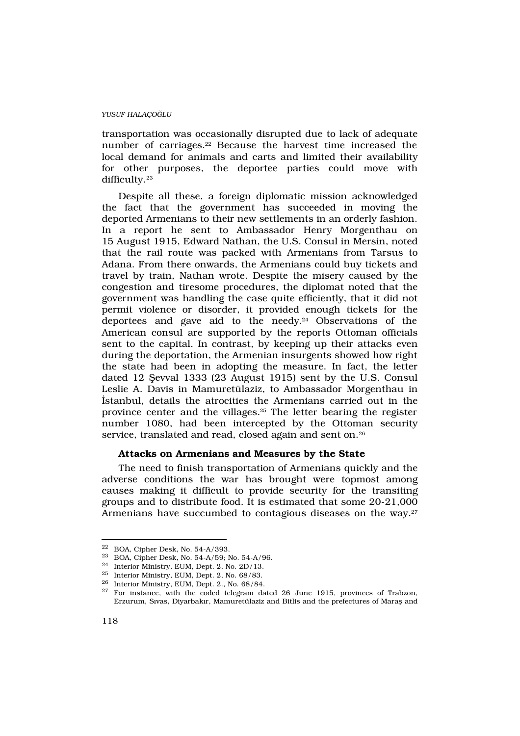transportation was occasionally disrupted due to lack of adequate number of carriages.22 Because the harvest time increased the local demand for animals and carts and limited their availability for other purposes, the deportee parties could move with difficulty.<sup>23</sup>

Despite all these, a foreign diplomatic mission acknowledged the fact that the government has succeeded in moving the deported Armenians to their new settlements in an orderly fashion. In a report he sent to Ambassador Henry Morgenthau on 15 August 1915, Edward Nathan, the U.S. Consul in Mersin, noted that the rail route was packed with Armenians from Tarsus to Adana. From there onwards, the Armenians could buy tickets and travel by train, Nathan wrote. Despite the misery caused by the congestion and tiresome procedures, the diplomat noted that the government was handling the case quite efficiently, that it did not permit violence or disorder, it provided enough tickets for the deportees and gave aid to the needy.24 Observations of the American consul are supported by the reports Ottoman officials sent to the capital. In contrast, by keeping up their attacks even during the deportation, the Armenian insurgents showed how right the state had been in adopting the measure. In fact, the letter dated 12 fievval 1333 (23 August 1915) sent by the U.S. Consul Leslie A. Davis in Mamuretülaziz, to Ambassador Morgenthau in ‹stanbul, details the atrocities the Armenians carried out in the province center and the villages.25 The letter bearing the register number 1080, had been intercepted by the Ottoman security service, translated and read, closed again and sent on.<sup>26</sup>

# Attacks on Armenians and Measures by the State

The need to finish transportation of Armenians quickly and the adverse conditions the war has brought were topmost among causes making it difficult to provide security for the transiting groups and to distribute food. It is estimated that some 20-21,000 Armenians have succumbed to contagious diseases on the way.<sup>27</sup>

<sup>22</sup> BOA, Cipher Desk, No. 54-A/393.

<sup>23</sup> BOA, Cipher Desk, No. 54-A/59; No. 54-A/96.

<sup>24</sup> Interior Ministry, EUM, Dept. 2, No. 2D/13.

<sup>25</sup> Interior Ministry, EUM, Dept. 2, No. 68/83.

<sup>26</sup> Interior Ministry, EUM, Dept. 2., No. 68/84.

<sup>&</sup>lt;sup>27</sup> For instance, with the coded telegram dated 26 June 1915, provinces of Trabzon, Erzurum, S›vas, Diyarbak›r, Mamuretülaziz and Bitlis and the prefectures of Marafl and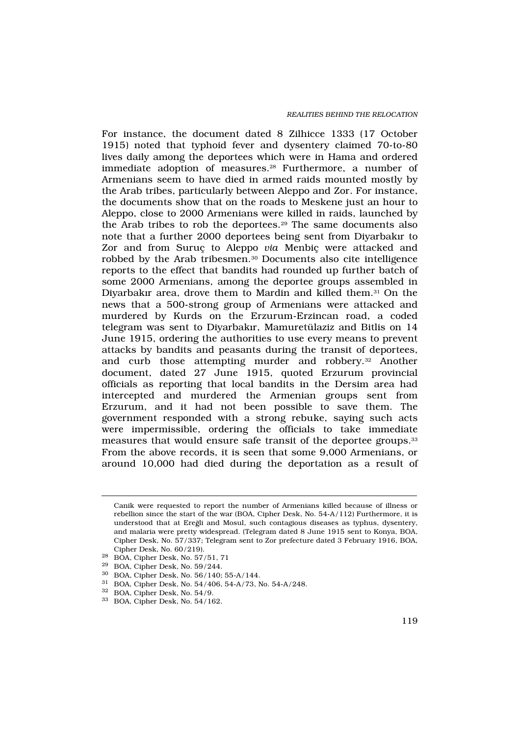For instance, the document dated 8 Zilhicce 1333 (17 October 1915) noted that typhoid fever and dysentery claimed 70-to-80 lives daily among the deportees which were in Hama and ordered immediate adoption of measures.28 Furthermore, a number of Armenians seem to have died in armed raids mounted mostly by the Arab tribes, particularly between Aleppo and Zor. For instance, the documents show that on the roads to Meskene just an hour to Aleppo, close to 2000 Armenians were killed in raids, launched by the Arab tribes to rob the deportees.29 The same documents also note that a further 2000 deportees being sent from Diyarbak›r to Zor and from Suruç to Aleppo via Menbiç were attacked and robbed by the Arab tribesmen.30 Documents also cite intelligence reports to the effect that bandits had rounded up further batch of some 2000 Armenians, among the deportee groups assembled in Diyarbak›r area, drove them to Mardin and killed them.31 On the news that a 500-strong group of Armenians were attacked and murdered by Kurds on the Erzurum-Erzincan road, a coded telegram was sent to Diyarbak›r, Mamuretülaziz and Bitlis on 14 June 1915, ordering the authorities to use every means to prevent attacks by bandits and peasants during the transit of deportees, and curb those attempting murder and robbery.32 Another document, dated 27 June 1915, quoted Erzurum provincial officials as reporting that local bandits in the Dersim area had intercepted and murdered the Armenian groups sent from Erzurum, and it had not been possible to save them. The government responded with a strong rebuke, saying such acts were impermissible, ordering the officials to take immediate measures that would ensure safe transit of the deportee groups.<sup>33</sup> From the above records, it is seen that some 9,000 Armenians, or around 10,000 had died during the deportation as a result of

Canik were requested to report the number of Armenians killed because of illness or rebellion since the start of the war (BOA, Cipher Desk, No. 54-A/112) Furthermore, it is understood that at Ereğli and Mosul, such contagious diseases as typhus, dysentery, and malaria were pretty widespread. (Telegram dated 8 June 1915 sent to Konya, BOA, Cipher Desk, No. 57/337; Telegram sent to Zor prefecture dated 3 February 1916, BOA, Cipher Desk, No. 60/219).

 $28$  BOA, Cipher Desk, No. 57/51, 71

<sup>29</sup> BOA, Cipher Desk, No. 59/244.

<sup>30</sup> BOA, Cipher Desk, No. 56/140; 55-A/144.

<sup>31</sup> BOA, Cipher Desk, No. 54/406, 54-A/73, No. 54-A/248.

<sup>32</sup> BOA, Cipher Desk, No. 54/9.

<sup>33</sup> BOA, Cipher Desk, No. 54/162.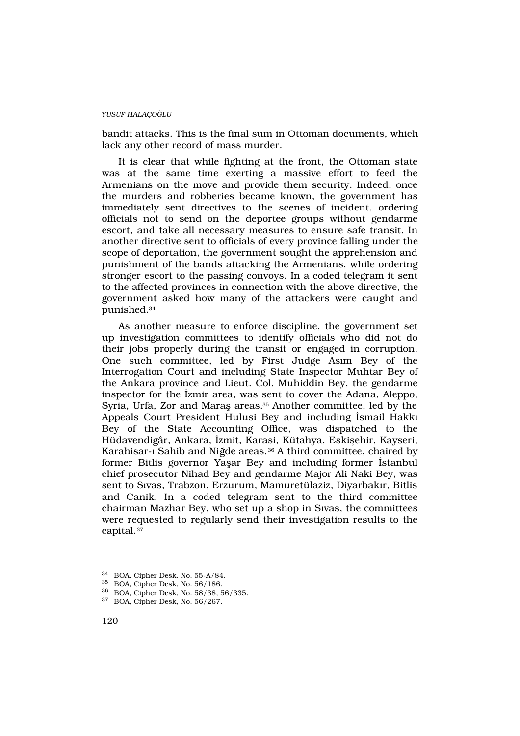bandit attacks. This is the final sum in Ottoman documents, which lack any other record of mass murder.

It is clear that while fighting at the front, the Ottoman state was at the same time exerting a massive effort to feed the Armenians on the move and provide them security. Indeed, once the murders and robberies became known, the government has immediately sent directives to the scenes of incident, ordering officials not to send on the deportee groups without gendarme escort, and take all necessary measures to ensure safe transit. In another directive sent to officials of every province falling under the scope of deportation, the government sought the apprehension and punishment of the bands attacking the Armenians, while ordering stronger escort to the passing convoys. In a coded telegram it sent to the affected provinces in connection with the above directive, the government asked how many of the attackers were caught and punished.<sup>34</sup>

As another measure to enforce discipline, the government set up investigation committees to identify officials who did not do their jobs properly during the transit or engaged in corruption. One such committee, led by First Judge As›m Bey of the Interrogation Court and including State Inspector Muhtar Bey of the Ankara province and Lieut. Col. Muhiddin Bey, the gendarme inspector for the ‹zmir area, was sent to cover the Adana, Aleppo, Syria, Urfa, Zor and Marafl areas.<sup>35</sup> Another committee, led by the Appeals Court President Hulusi Bey and including ‹smail Hakk› Bey of the State Accounting Office, was dispatched to the Hüdavendigâr, Ankara, ‹zmit, Karasi, Kütahya, Eskiflehir, Kayseri, Karahisar-> Sahib and Niğde areas.<sup>36</sup> A third committee, chaired by former Bitlis governor Yaflar Bey and including former ‹stanbul chief prosecutor Nihad Bey and gendarme Major Ali Naki Bey, was sent to S<sub>'</sub>vas, Trabzon, Erzurum, Mamuretülaziz, Diyarbak<sup>y</sup>r, Bitlis and Canik. In a coded telegram sent to the third committee chairman Mazhar Bey, who set up a shop in S›vas, the committees were requested to regularly send their investigation results to the capital.<sup>37</sup>

<sup>34</sup> BOA, Cipher Desk, No. 55-A/84.

<sup>35</sup> BOA, Cipher Desk, No. 56/186.

<sup>36</sup> BOA, Cipher Desk, No. 58/38, 56/335.

<sup>37</sup> BOA, Cipher Desk, No. 56/267.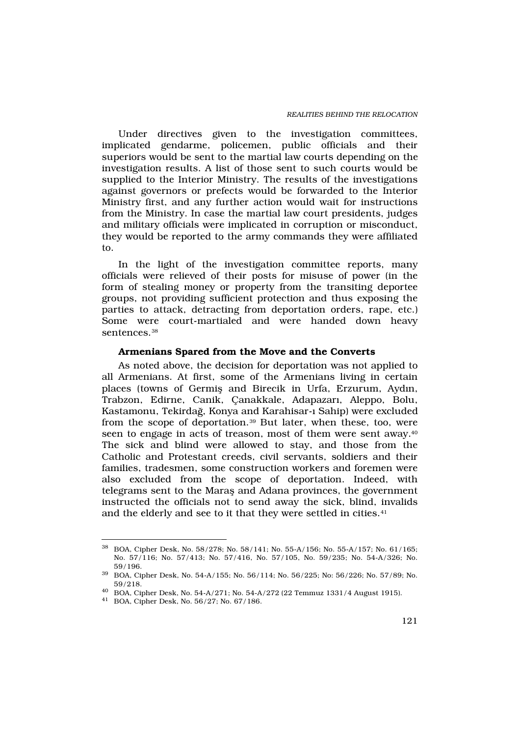Under directives given to the investigation committees, implicated gendarme, policemen, public officials and their superiors would be sent to the martial law courts depending on the investigation results. A list of those sent to such courts would be supplied to the Interior Ministry. The results of the investigations against governors or prefects would be forwarded to the Interior Ministry first, and any further action would wait for instructions from the Ministry. In case the martial law court presidents, judges and military officials were implicated in corruption or misconduct, they would be reported to the army commands they were affiliated to.

In the light of the investigation committee reports, many officials were relieved of their posts for misuse of power (in the form of stealing money or property from the transiting deportee groups, not providing sufficient protection and thus exposing the parties to attack, detracting from deportation orders, rape, etc.) Some were court-martialed and were handed down heavy sentences.<sup>38</sup>

# Armenians Spared from the Move and the Converts

As noted above, the decision for deportation was not applied to all Armenians. At first, some of the Armenians living in certain places (towns of Germifl and Birecik in Urfa, Erzurum, Ayd›n, Trabzon, Edirne, Canik, Çanakkale, Adapazar›, Aleppo, Bolu, Kastamonu, Tekirdağ, Konya and Karahisar-> Sahip) were excluded from the scope of deportation.39 But later, when these, too, were seen to engage in acts of treason, most of them were sent away.<sup>40</sup> The sick and blind were allowed to stay, and those from the Catholic and Protestant creeds, civil servants, soldiers and their families, tradesmen, some construction workers and foremen were also excluded from the scope of deportation. Indeed, with telegrams sent to the Marafl and Adana provinces, the government instructed the officials not to send away the sick, blind, invalids and the elderly and see to it that they were settled in cities.<sup>41</sup>

<sup>38</sup> BOA, Cipher Desk, No. 58/278; No. 58/141; No. 55-A/156; No. 55-A/157; No. 61/165; No. 57/116; No. 57/413; No. 57/416, No. 57/105, No. 59/235; No. 54-A/326; No. 59/196.

<sup>39</sup> BOA, Cipher Desk, No. 54-A/155; No. 56/114; No. 56/225; No: 56/226; No. 57/89; No. 59/218.

<sup>40</sup> BOA, Cipher Desk, No. 54-A/271; No. 54-A/272 (22 Temmuz 1331/4 August 1915).

<sup>41</sup> BOA, Cipher Desk, No. 56/27; No. 67/186.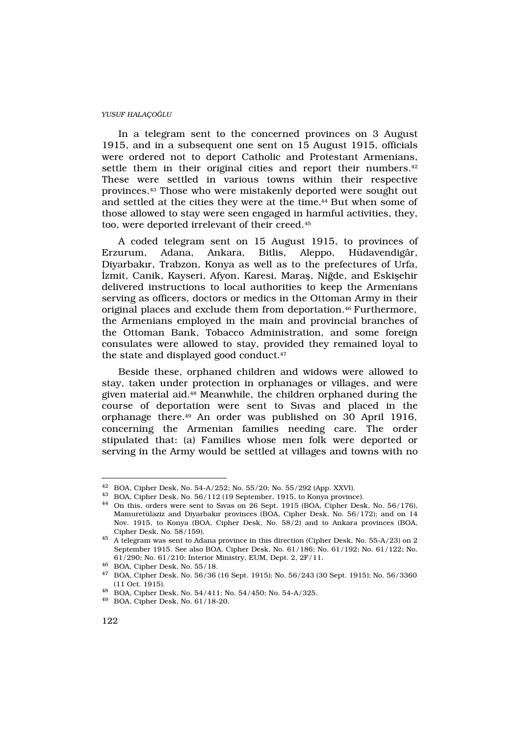In a telegram sent to the concerned provinces on 3 August 1915, and in a subsequent one sent on 15 August 1915, officials were ordered not to deport Catholic and Protestant Armenians, settle them in their original cities and report their numbers.<sup>42</sup> These were settled in various towns within their respective provinces.43 Those who were mistakenly deported were sought out and settled at the cities they were at the time.<sup>44</sup> But when some of those allowed to stay were seen engaged in harmful activities, they, too, were deported irrelevant of their creed.<sup>45</sup>

A coded telegram sent on 15 August 1915, to provinces of Erzurum, Adana, Ankara, Bitlis, Aleppo, Hüdavendigâr, Diyarbak›r, Trabzon, Konya as well as to the prefectures of Urfa, <zmit, Canik, Kayseri, Afyon, Karesi, Marafl, Niğde, and Eskiflehir delivered instructions to local authorities to keep the Armenians serving as officers, doctors or medics in the Ottoman Army in their original places and exclude them from deportation.46 Furthermore, the Armenians employed in the main and provincial branches of the Ottoman Bank, Tobacco Administration, and some foreign consulates were allowed to stay, provided they remained loyal to the state and displayed good conduct.<sup>47</sup>

Beside these, orphaned children and widows were allowed to stay, taken under protection in orphanages or villages, and were given material aid.48 Meanwhile, the children orphaned during the course of deportation were sent to S›vas and placed in the orphanage there.49 An order was published on 30 April 1916, concerning the Armenian families needing care. The order stipulated that: (a) Families whose men folk were deported or serving in the Army would be settled at villages and towns with no

<sup>42</sup> BOA, Cipher Desk, No. 54-A/252; No. 55/20; No. 55/292 (App. XXVI).

<sup>43</sup> BOA, Cipher Desk, No. 56/112 (19 September, 1915, to Konya province).

<sup>44</sup> On this, orders were sent to S›vas on 26 Sept. 1915 (BOA, Cipher Desk, No. 56/176), Mamuretülaziz and Diyarbakır provinces (BOA, Cipher Desk, No. 56/172); and on 14 Nov. 1915, to Konya (BOA, Cipher Desk, No. 58/2) and to Ankara provinces (BOA, Cipher Desk, No. 58/159).

<sup>45</sup> A telegram was sent to Adana province in this direction (Cipher Desk, No. 55-A/23) on 2 September 1915. See also BOA, Cipher Desk, No. 61/186; No. 61/192; No. 61/122; No. 61/290; No. 61/210; Interior Ministry, EUM, Dept. 2, 2F/11.

<sup>46</sup> BOA, Cipher Desk, No. 55/18.

<sup>47</sup> BOA, Cipher Desk, No. 56/36 (16 Sept. 1915); No. 56/243 (30 Sept. 1915); No. 56/3360 (11 Oct. 1915).

<sup>48</sup> BOA, Cipher Desk, No. 54/411; No. 54/450; No. 54-A/325.

<sup>49</sup> BOA, Cipher Desk, No. 61/18-20.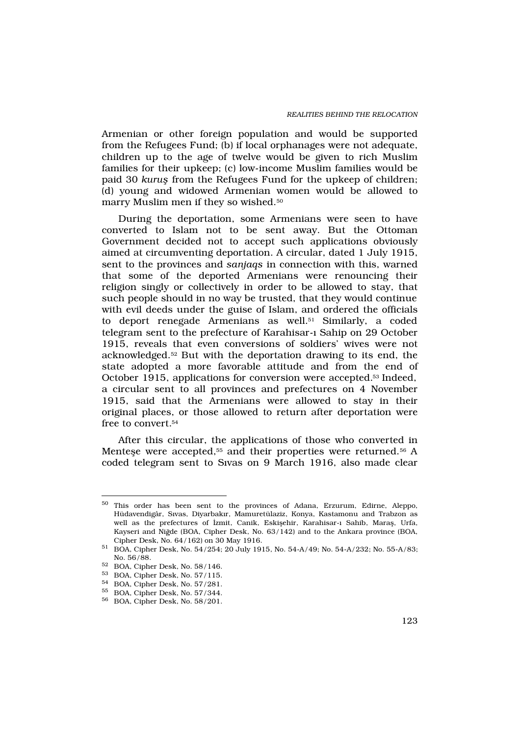Armenian or other foreign population and would be supported from the Refugees Fund; (b) if local orphanages were not adequate, children up to the age of twelve would be given to rich Muslim families for their upkeep; (c) low-income Muslim families would be paid 30 kuru from the Refugees Fund for the upkeep of children; (d) young and widowed Armenian women would be allowed to marry Muslim men if they so wished.<sup>50</sup>

During the deportation, some Armenians were seen to have converted to Islam not to be sent away. But the Ottoman Government decided not to accept such applications obviously aimed at circumventing deportation. A circular, dated 1 July 1915, sent to the provinces and sanjaqs in connection with this, warned that some of the deported Armenians were renouncing their religion singly or collectively in order to be allowed to stay, that such people should in no way be trusted, that they would continue with evil deeds under the guise of Islam, and ordered the officials to deport renegade Armenians as well.<sup>51</sup> Similarly, a coded telegram sent to the prefecture of Karahisar-› Sahip on 29 October 1915, reveals that even conversions of soldiers' wives were not acknowledged.52 But with the deportation drawing to its end, the state adopted a more favorable attitude and from the end of October 1915, applications for conversion were accepted.53 Indeed, a circular sent to all provinces and prefectures on 4 November 1915, said that the Armenians were allowed to stay in their original places, or those allowed to return after deportation were free to convert.<sup>54</sup>

After this circular, the applications of those who converted in Mentefle were accepted,<sup>55</sup> and their properties were returned.<sup>56</sup> A coded telegram sent to S›vas on 9 March 1916, also made clear

<sup>50</sup> This order has been sent to the provinces of Adana, Erzurum, Edirne, Aleppo, Hüdavendigâr, S›vas, Diyarbak›r, Mamuretülaziz, Konya, Kastamonu and Trabzon as well as the prefectures of ‹zmit, Canik, Eskiflehir, Karahisar-› Sahib, Marafl, Urfa, Kayseri and Niğde (BOA, Cipher Desk, No. 63/142) and to the Ankara province (BOA, Cipher Desk, No. 64/162) on 30 May 1916.

<sup>51</sup> BOA, Cipher Desk, No. 54/254; 20 July 1915, No. 54-A/49; No. 54-A/232; No. 55-A/83; No. 56/88.

<sup>52</sup> BOA, Cipher Desk, No. 58/146.

<sup>53</sup> BOA, Cipher Desk, No. 57/115.

<sup>54</sup> BOA, Cipher Desk, No. 57/281.

<sup>55</sup> BOA, Cipher Desk, No. 57/344.

<sup>56</sup> BOA, Cipher Desk, No. 58/201.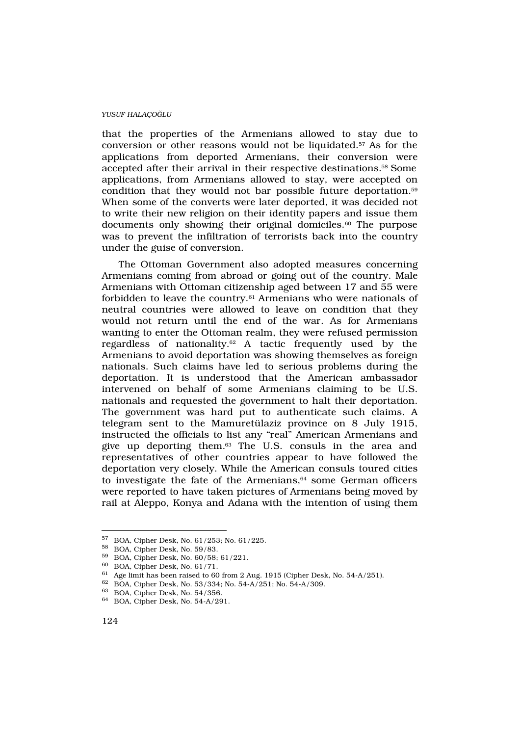that the properties of the Armenians allowed to stay due to conversion or other reasons would not be liquidated.57 As for the applications from deported Armenians, their conversion were accepted after their arrival in their respective destinations.58 Some applications, from Armenians allowed to stay, were accepted on condition that they would not bar possible future deportation.<sup>59</sup> When some of the converts were later deported, it was decided not to write their new religion on their identity papers and issue them documents only showing their original domiciles.<sup>60</sup> The purpose was to prevent the infiltration of terrorists back into the country under the guise of conversion.

The Ottoman Government also adopted measures concerning Armenians coming from abroad or going out of the country. Male Armenians with Ottoman citizenship aged between 17 and 55 were forbidden to leave the country.61 Armenians who were nationals of neutral countries were allowed to leave on condition that they would not return until the end of the war. As for Armenians wanting to enter the Ottoman realm, they were refused permission regardless of nationality.62 A tactic frequently used by the Armenians to avoid deportation was showing themselves as foreign nationals. Such claims have led to serious problems during the deportation. It is understood that the American ambassador intervened on behalf of some Armenians claiming to be U.S. nationals and requested the government to halt their deportation. The government was hard put to authenticate such claims. A telegram sent to the Mamuretülaziz province on 8 July 1915, instructed the officials to list any "real" American Armenians and give up deporting them.63 The U.S. consuls in the area and representatives of other countries appear to have followed the deportation very closely. While the American consuls toured cities to investigate the fate of the Armenians, $64$  some German officers were reported to have taken pictures of Armenians being moved by rail at Aleppo, Konya and Adana with the intention of using them

<sup>57</sup> BOA, Cipher Desk, No. 61/253; No. 61/225.

<sup>58</sup> BOA, Cipher Desk, No. 59/83.

<sup>59</sup> BOA, Cipher Desk, No. 60/58; 61/221.

<sup>60</sup> BOA, Cipher Desk, No. 61/71.

<sup>61</sup> Age limit has been raised to 60 from 2 Aug. 1915 (Cipher Desk, No. 54-A/251).

<sup>62</sup> BOA, Cipher Desk, No. 53/334; No. 54-A/251; No. 54-A/309.

<sup>63</sup> BOA, Cipher Desk, No. 54/356.

<sup>64</sup> BOA, Cipher Desk, No. 54-A/291.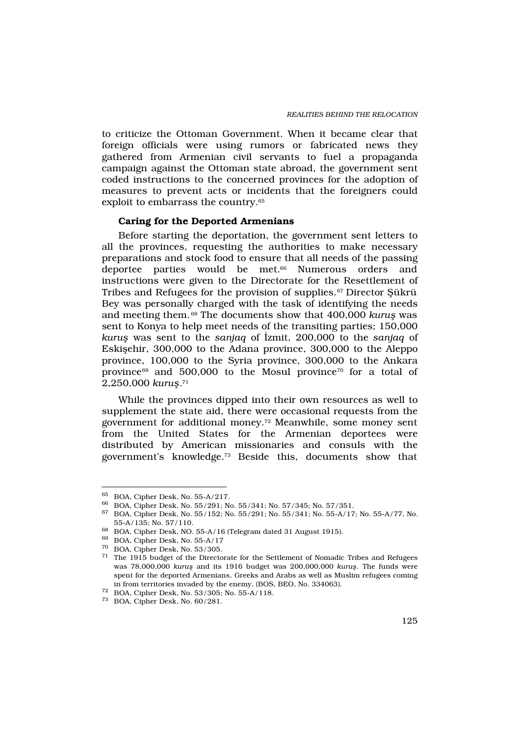to criticize the Ottoman Government. When it became clear that foreign officials were using rumors or fabricated news they gathered from Armenian civil servants to fuel a propaganda campaign against the Ottoman state abroad, the government sent coded instructions to the concerned provinces for the adoption of measures to prevent acts or incidents that the foreigners could exploit to embarrass the country.<sup>65</sup>

### Caring for the Deported Armenians

Before starting the deportation, the government sent letters to all the provinces, requesting the authorities to make necessary preparations and stock food to ensure that all needs of the passing deportee parties would be met.<sup>66</sup> Numerous orders and instructions were given to the Directorate for the Resettlement of Tribes and Refugees for the provision of supplies.67 Director fiükrü Bey was personally charged with the task of identifying the needs and meeting them.  $68$  The documents show that 400,000 kuru was sent to Konya to help meet needs of the transiting parties; 150,000 kuru was sent to the sanjaq of  $\langle$ zmit, 200,000 to the sanjaq of Eskiflehir, 300,000 to the Adana province, 300,000 to the Aleppo province, 100,000 to the Syria province, 300,000 to the Ankara province<sup>69</sup> and 500,000 to the Mosul province<sup>70</sup> for a total of 2,250,000 kuru .<sup>71</sup>

While the provinces dipped into their own resources as well to supplement the state aid, there were occasional requests from the government for additional money.72 Meanwhile, some money sent from the United States for the Armenian deportees were distributed by American missionaries and consuls with the government's knowledge.73 Beside this, documents show that

<sup>65</sup> BOA, Cipher Desk, No. 55-A/217.

<sup>66</sup> BOA, Cipher Desk, No. 55/291; No. 55/341; No. 57/345; No. 57/351.

<sup>67</sup> BOA, Cipher Desk, No. 55/152; No. 55/291; No. 55/341; No. 55-A/17; No. 55-A/77, No. 55-A/135; No. 57/110.

<sup>68</sup> BOA, Cipher Desk, NO. 55-A/16 (Telegram dated 31 August 1915).

<sup>69</sup> BOA, Cipher Desk, No. 55-A/17

<sup>70</sup> BOA, Cipher Desk, No. 53/305.

 $71$  The 1915 budget of the Directorate for the Settlement of Nomadic Tribes and Refugees was  $78,000,000$  kuru and its 1916 budget was 200,000,000 kuru. The funds were spent for the deported Armenians, Greeks and Arabs as well as Muslim refugees coming in from territories invaded by the enemy. (BOS, BEO, No. 334063).

<sup>72</sup> BOA, Cipher Desk, No. 53/305; No. 55-A/118.

<sup>73</sup> BOA, Cipher Desk, No. 60/281.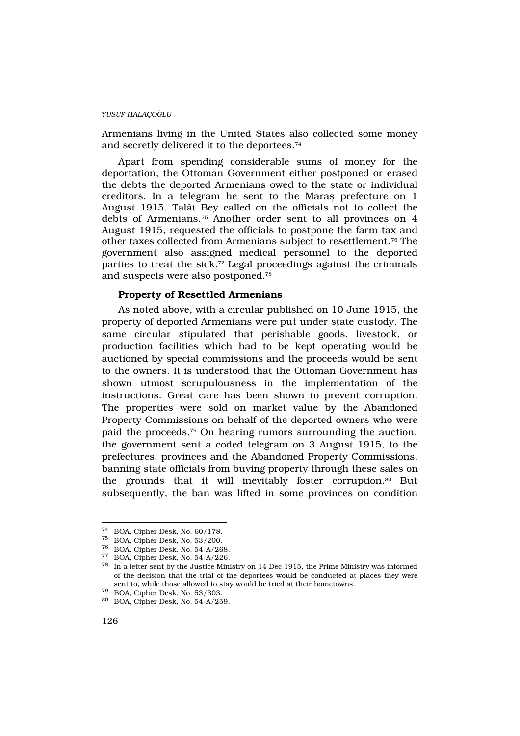Armenians living in the United States also collected some money and secretly delivered it to the deportees.<sup>74</sup>

Apart from spending considerable sums of money for the deportation, the Ottoman Government either postponed or erased the debts the deported Armenians owed to the state or individual creditors. In a telegram he sent to the Marafl prefecture on 1 August 1915, Talât Bey called on the officials not to collect the debts of Armenians.75 Another order sent to all provinces on 4 August 1915, requested the officials to postpone the farm tax and other taxes collected from Armenians subject to resettlement.76 The government also assigned medical personnel to the deported parties to treat the sick.<sup>77</sup> Legal proceedings against the criminals and suspects were also postponed.<sup>78</sup>

### Property of Resettled Armenians

As noted above, with a circular published on 10 June 1915, the property of deported Armenians were put under state custody. The same circular stipulated that perishable goods, livestock, or production facilities which had to be kept operating would be auctioned by special commissions and the proceeds would be sent to the owners. It is understood that the Ottoman Government has shown utmost scrupulousness in the implementation of the instructions. Great care has been shown to prevent corruption. The properties were sold on market value by the Abandoned Property Commissions on behalf of the deported owners who were paid the proceeds.79 On hearing rumors surrounding the auction, the government sent a coded telegram on 3 August 1915, to the prefectures, provinces and the Abandoned Property Commissions, banning state officials from buying property through these sales on the grounds that it will inevitably foster corruption.<sup>80</sup> But subsequently, the ban was lifted in some provinces on condition

<sup>74</sup> BOA, Cipher Desk, No. 60/178.

 $75$  BOA, Cipher Desk, No. 53/200.

<sup>76</sup> BOA, Cipher Desk, No. 54-A/268.

<sup>77</sup> BOA, Cipher Desk, No. 54-A/226.

 $^{78}\;$  In a letter sent by the Justice Ministry on 14 Dec 1915, the Prime Ministry was informed of the decision that the trial of the deportees would be conducted at places they were sent to, while those allowed to stay would be tried at their hometowns.

<sup>79</sup> BOA, Cipher Desk, No. 53/303.

<sup>80</sup> BOA, Cipher Desk, No. 54-A/259.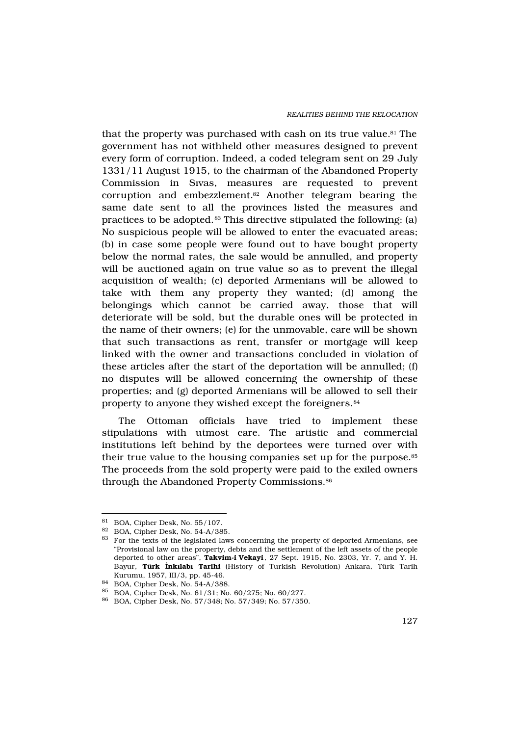that the property was purchased with cash on its true value.<sup>81</sup> The government has not withheld other measures designed to prevent every form of corruption. Indeed, a coded telegram sent on 29 July 1331/11 August 1915, to the chairman of the Abandoned Property Commission in S›vas, measures are requested to prevent corruption and embezzlement.82 Another telegram bearing the same date sent to all the provinces listed the measures and practices to be adopted.83 This directive stipulated the following: (a) No suspicious people will be allowed to enter the evacuated areas; (b) in case some people were found out to have bought property below the normal rates, the sale would be annulled, and property will be auctioned again on true value so as to prevent the illegal acquisition of wealth; (c) deported Armenians will be allowed to take with them any property they wanted; (d) among the belongings which cannot be carried away, those that will deteriorate will be sold, but the durable ones will be protected in the name of their owners; (e) for the unmovable, care will be shown that such transactions as rent, transfer or mortgage will keep linked with the owner and transactions concluded in violation of these articles after the start of the deportation will be annulled; (f) no disputes will be allowed concerning the ownership of these properties; and (g) deported Armenians will be allowed to sell their property to anyone they wished except the foreigners.<sup>84</sup>

The Ottoman officials have tried to implement these stipulations with utmost care. The artistic and commercial institutions left behind by the deportees were turned over with their true value to the housing companies set up for the purpose.<sup>85</sup> The proceeds from the sold property were paid to the exiled owners through the Abandoned Property Commissions.<sup>86</sup>

<sup>81</sup> BOA, Cipher Desk, No. 55/107.

<sup>82</sup> BOA, Cipher Desk, No. 54-A/385.

<sup>&</sup>lt;sup>83</sup> For the texts of the legislated laws concerning the property of deported Armenians, see "Provisional law on the property, debts and the settlement of the left assets of the people deported to other areas", Takvim-i Vekayi, 27 Sept. 1915, No. 2303, Yr. 7, and Y. H. Bayur, Türk nklab Tarihi (History of Turkish Revolution) Ankara, Türk Tarih Kurumu, 1957, III/3, pp. 45-46.

<sup>84</sup> BOA, Cipher Desk, No. 54-A/388.

<sup>85</sup> BOA, Cipher Desk, No. 61/31; No. 60/275; No. 60/277.

<sup>86</sup> BOA, Cipher Desk, No. 57/348; No. 57/349; No. 57/350.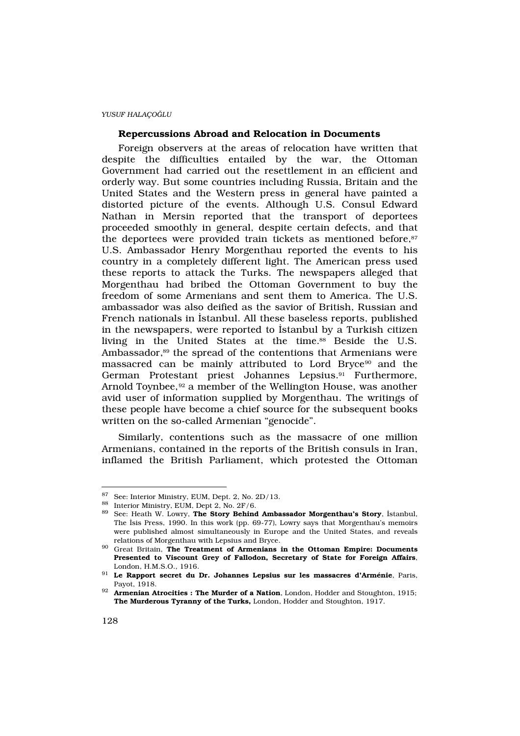# Repercussions Abroad and Relocation in Documents

Foreign observers at the areas of relocation have written that despite the difficulties entailed by the war, the Ottoman Government had carried out the resettlement in an efficient and orderly way. But some countries including Russia, Britain and the United States and the Western press in general have painted a distorted picture of the events. Although U.S. Consul Edward Nathan in Mersin reported that the transport of deportees proceeded smoothly in general, despite certain defects, and that the deportees were provided train tickets as mentioned before,<sup>87</sup> U.S. Ambassador Henry Morgenthau reported the events to his country in a completely different light. The American press used these reports to attack the Turks. The newspapers alleged that Morgenthau had bribed the Ottoman Government to buy the freedom of some Armenians and sent them to America. The U.S. ambassador was also deified as the savior of British, Russian and French nationals in ‹stanbul. All these baseless reports, published in the newspapers, were reported to ‹stanbul by a Turkish citizen living in the United States at the time.88 Beside the U.S. Ambassador,<sup>89</sup> the spread of the contentions that Armenians were massacred can be mainly attributed to Lord Bryce90 and the German Protestant priest Johannes Lepsius.<sup>91</sup> Furthermore, Arnold Toynbee,<sup>92</sup> a member of the Wellington House, was another avid user of information supplied by Morgenthau. The writings of these people have become a chief source for the subsequent books written on the so-called Armenian "genocide".

Similarly, contentions such as the massacre of one million Armenians, contained in the reports of the British consuls in Iran, inflamed the British Parliament, which protested the Ottoman

<sup>87</sup> See: Interior Ministry, EUM, Dept. 2, No. 2D/13.

<sup>88</sup> Interior Ministry, EUM, Dept 2, No. 2F/6.

<sup>89</sup> See: Heath W. Lowry, The Story Behind Ambassador Morgenthau's Story, «stanbul, The  $\cdot$ sis Press, 1990. In this work (pp. 69-77), Lowry says that Morgenthau's memoirs were published almost simultaneously in Europe and the United States, and reveals relations of Morgenthau with Lepsius and Bryce.

<sup>&</sup>lt;sup>90</sup> Great Britain, The Treatment of Armenians in the Ottoman Empire: Documents Presented to Viscount Grey of Fallodon, Secretary of State for Foreign Affairs, London, H.M.S.O., 1916.

 $91$  Le Rapport secret du Dr. Johannes Lepsius sur les massacres d'Arménie, Paris, Payot, 1918.

<sup>92</sup> Armenian Atrocities : The Murder of a Nation, London, Hodder and Stoughton, 1915; The Murderous Tyranny of the Turks, London, Hodder and Stoughton, 1917.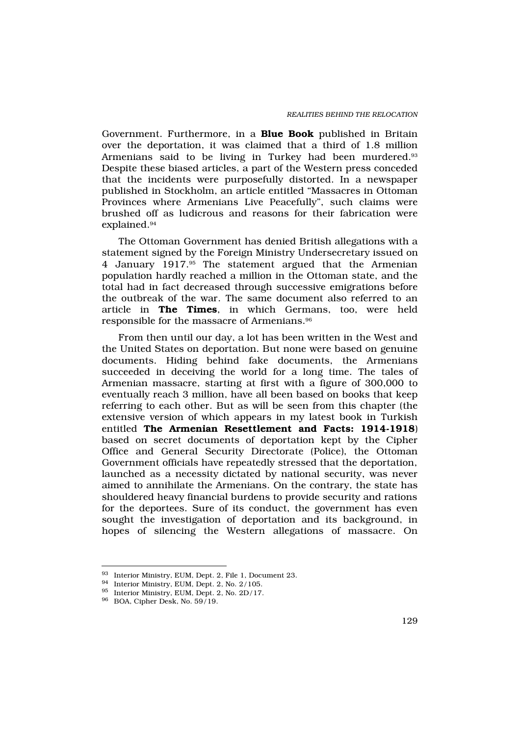Government. Furthermore, in a **Blue Book** published in Britain over the deportation, it was claimed that a third of 1.8 million Armenians said to be living in Turkey had been murdered.<sup>93</sup> Despite these biased articles, a part of the Western press conceded that the incidents were purposefully distorted. In a newspaper published in Stockholm, an article entitled "Massacres in Ottoman Provinces where Armenians Live Peacefully", such claims were brushed off as ludicrous and reasons for their fabrication were explained.<sup>94</sup>

The Ottoman Government has denied British allegations with a statement signed by the Foreign Ministry Undersecretary issued on 4 January 1917.95 The statement argued that the Armenian population hardly reached a million in the Ottoman state, and the total had in fact decreased through successive emigrations before the outbreak of the war. The same document also referred to an article in The Times, in which Germans, too, were held responsible for the massacre of Armenians.<sup>96</sup>

From then until our day, a lot has been written in the West and the United States on deportation. But none were based on genuine documents. Hiding behind fake documents, the Armenians succeeded in deceiving the world for a long time. The tales of Armenian massacre, starting at first with a figure of 300,000 to eventually reach 3 million, have all been based on books that keep referring to each other. But as will be seen from this chapter (the extensive version of which appears in my latest book in Turkish entitled The Armenian Resettlement and Facts: 1914-1918) based on secret documents of deportation kept by the Cipher Office and General Security Directorate (Police), the Ottoman Government officials have repeatedly stressed that the deportation, launched as a necessity dictated by national security, was never aimed to annihilate the Armenians. On the contrary, the state has shouldered heavy financial burdens to provide security and rations for the deportees. Sure of its conduct, the government has even sought the investigation of deportation and its background, in hopes of silencing the Western allegations of massacre. On

<sup>93</sup> Interior Ministry, EUM, Dept. 2, File 1, Document 23.

<sup>94</sup> Interior Ministry, EUM, Dept. 2, No. 2/105.

<sup>95</sup> Interior Ministry, EUM, Dept. 2, No. 2D/17.

<sup>96</sup> BOA, Cipher Desk, No. 59/19.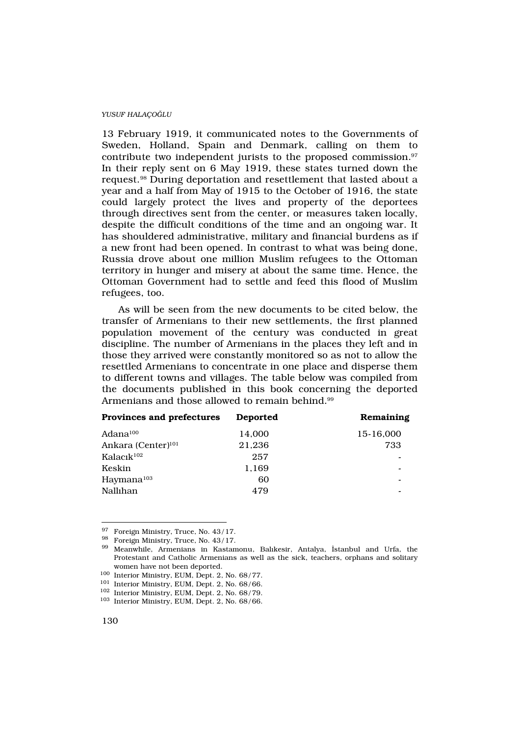13 February 1919, it communicated notes to the Governments of Sweden, Holland, Spain and Denmark, calling on them to contribute two independent jurists to the proposed commission.<sup>97</sup> In their reply sent on 6 May 1919, these states turned down the request.98 During deportation and resettlement that lasted about a year and a half from May of 1915 to the October of 1916, the state could largely protect the lives and property of the deportees through directives sent from the center, or measures taken locally, despite the difficult conditions of the time and an ongoing war. It has shouldered administrative, military and financial burdens as if a new front had been opened. In contrast to what was being done, Russia drove about one million Muslim refugees to the Ottoman territory in hunger and misery at about the same time. Hence, the Ottoman Government had to settle and feed this flood of Muslim refugees, too.

As will be seen from the new documents to be cited below, the transfer of Armenians to their new settlements, the first planned population movement of the century was conducted in great discipline. The number of Armenians in the places they left and in those they arrived were constantly monitored so as not to allow the resettled Armenians to concentrate in one place and disperse them to different towns and villages. The table below was compiled from the documents published in this book concerning the deported Armenians and those allowed to remain behind.<sup>99</sup>

| Provinces and prefectures      | Deported | Remaining |
|--------------------------------|----------|-----------|
| Adana $100$                    | 14.000   | 15-16,000 |
| Ankara (Center) <sup>101</sup> | 21,236   | 733       |
| Kalac $k^{102}$                | 257      |           |
| Keskin                         | 1,169    | -         |
| Haymana <sup>103</sup>         | 60       | -         |
| Nall <sub>b</sub> han          | 479      | -         |

<sup>97</sup> Foreign Ministry, Truce, No. 43/17.

<sup>98</sup> Foreign Ministry, Truce, No. 43/17.

<sup>99</sup> Meanwhile, Armenians in Kastamonu, Bal·kesir, Antalya, «stanbul and Urfa, the Protestant and Catholic Armenians as well as the sick, teachers, orphans and solitary women have not been deported.

<sup>100</sup> Interior Ministry, EUM, Dept. 2, No. 68/77.

<sup>101</sup> Interior Ministry, EUM, Dept. 2, No. 68/66.

<sup>102</sup> Interior Ministry, EUM, Dept. 2, No. 68/79.

<sup>103</sup> Interior Ministry, EUM, Dept. 2, No. 68/66.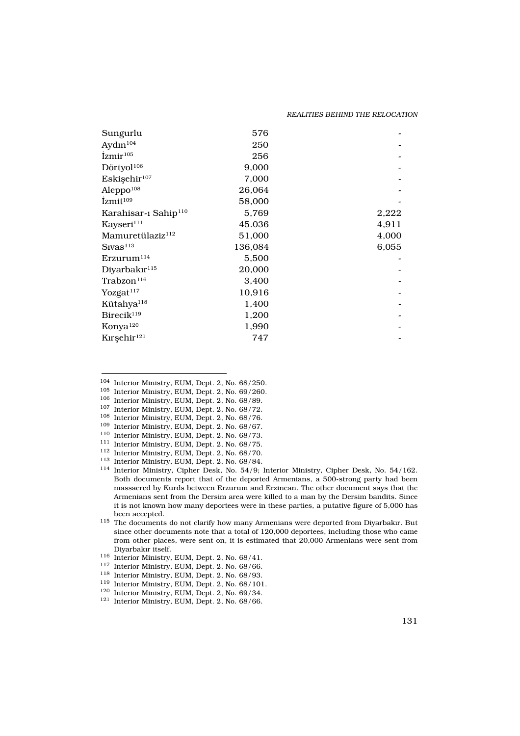REALITIES BEHIND THE RELOCATION

| Sungurlu                            | 576     |       |
|-------------------------------------|---------|-------|
| $Ayd^{\lambda}n^{104}$              | 250     |       |
| $\langle zmir^{105}$                | 256     |       |
| $\rm D\ddot{o}rt\textsc{yol}^{106}$ | 9,000   |       |
| Eskiflehir <sup>107</sup>           | 7,000   |       |
| Aleppo <sup>108</sup>               | 26,064  |       |
| $\langle zmit^{109}$                | 58,000  |       |
| Karahisar-> Sahip <sup>110</sup>    | 5,769   | 2,222 |
| Kayseri <sup>111</sup>              | 45.036  | 4,911 |
| Mamuretülaziz <sup>112</sup>        | 51,000  | 4,000 |
| $S \times Vas$ <sup>113</sup>       | 136,084 | 6,055 |
| Erzurum <sup>114</sup>              | 5,500   |       |
| Diyarbak <sub>r<sup>115</sup></sub> | 20,000  |       |
| Trabzon <sup>116</sup>              | 3,400   |       |
| Yozgat <sup>117</sup>               | 10,916  |       |
| Kütahya <sup>118</sup>              | 1,400   |       |
| Birecik <sup>119</sup>              | 1,200   |       |
| Konya <sup>120</sup>                | 1,990   |       |
| K>rflehir <sup>121</sup>            | 747     |       |

- <sup>104</sup> Interior Ministry, EUM, Dept. 2, No. 68/250.
- <sup>105</sup> Interior Ministry, EUM, Dept. 2, No. 69/260.
- <sup>106</sup> Interior Ministry, EUM, Dept. 2, No. 68/89.
- <sup>107</sup> Interior Ministry, EUM, Dept. 2, No. 68/72.
- <sup>108</sup> Interior Ministry, EUM, Dept. 2, No. 68/76.
- 109 Interior Ministry, EUM, Dept. 2, No. 68/67.
- <sup>110</sup> Interior Ministry, EUM, Dept. 2, No. 68/73.
- <sup>111</sup> Interior Ministry, EUM, Dept. 2, No. 68/75.
- <sup>112</sup> Interior Ministry, EUM, Dept. 2, No. 68/70.
- <sup>113</sup> Interior Ministry, EUM, Dept. 2, No. 68/84.
- <sup>114</sup> Interior Ministry, Cipher Desk, No. 54/9; Interior Ministry, Cipher Desk, No. 54/162. Both documents report that of the deported Armenians, a 500-strong party had been massacred by Kurds between Erzurum and Erzincan. The other document says that the Armenians sent from the Dersim area were killed to a man by the Dersim bandits. Since it is not known how many deportees were in these parties, a putative figure of 5,000 has been accepted.
- $^{115}$  The documents do not clarify how many Armenians were deported from Diyarbakır. But since other documents note that a total of 120,000 deportees, including those who came from other places, were sent on, it is estimated that 20,000 Armenians were sent from Diyarbak›r itself.
- $116$  Interior Ministry, EUM, Dept. 2, No.  $68/41$ .
- <sup>117</sup> Interior Ministry, EUM, Dept. 2, No. 68/66.
- <sup>118</sup> Interior Ministry, EUM, Dept. 2, No. 68/93.
- <sup>119</sup> Interior Ministry, EUM, Dept. 2, No. 68/101.
- <sup>120</sup> Interior Ministry, EUM, Dept. 2, No. 69/34.
- <sup>121</sup> Interior Ministry, EUM, Dept. 2, No. 68/66.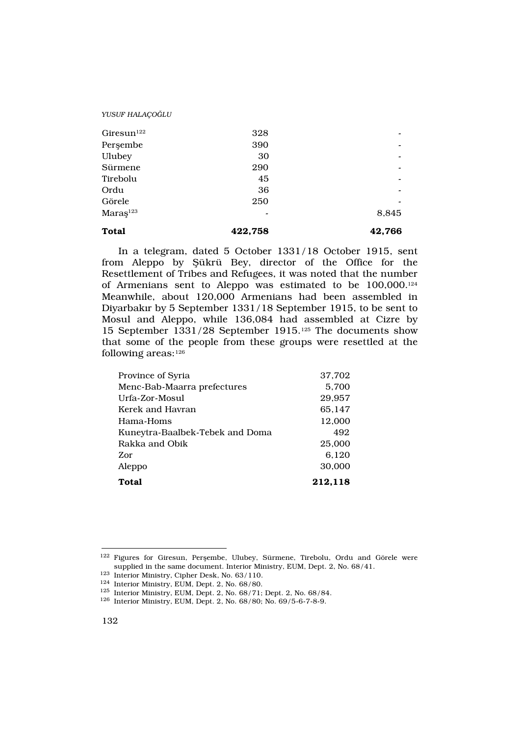| 422,758 | 42,766 |
|---------|--------|
|         | 8,845  |
| 250     |        |
| 36      |        |
| 45      |        |
| 290     |        |
| 30      | -      |
| 390     |        |
| 328     |        |
|         |        |

In a telegram, dated 5 October 1331/18 October 1915, sent from Aleppo by fiükrü Bey, director of the Office for the Resettlement of Tribes and Refugees, it was noted that the number of Armenians sent to Aleppo was estimated to be 100,000.<sup>124</sup> Meanwhile, about 120,000 Armenians had been assembled in Diyarbak›r by 5 September 1331/18 September 1915, to be sent to Mosul and Aleppo, while 136,084 had assembled at Cizre by 15 September 1331/28 September 1915.125 The documents show that some of the people from these groups were resettled at the following areas:<sup>126</sup>

| Province of Syria<br>Menc-Bab-Maarra prefectures | 37,702<br>5.700 |
|--------------------------------------------------|-----------------|
| Urfa-Zor-Mosul                                   | 29.957          |
| Kerek and Havran                                 | 65,147          |
| Hama-Homs                                        | 12,000          |
| Kuneytra-Baalbek-Tebek and Doma                  | 492             |
| Rakka and Obik                                   | 25,000          |
| Zor                                              | 6,120           |
| Aleppo                                           | 30,000          |
| <b>Total</b>                                     | 212,118         |

<sup>122</sup> Figures for Giresun, Perflembe, Ulubey, Sürmene, Tirebolu, Ordu and Görele were supplied in the same document. Interior Ministry, EUM, Dept. 2, No. 68/41.

<sup>123</sup> Interior Ministry, Cipher Desk, No. 63/110.

<sup>124</sup> Interior Ministry, EUM, Dept. 2, No. 68/80.

<sup>125</sup> Interior Ministry, EUM, Dept. 2, No. 68/71; Dept. 2, No. 68/84.

<sup>126</sup> Interior Ministry, EUM, Dept. 2, No. 68/80; No. 69/5-6-7-8-9.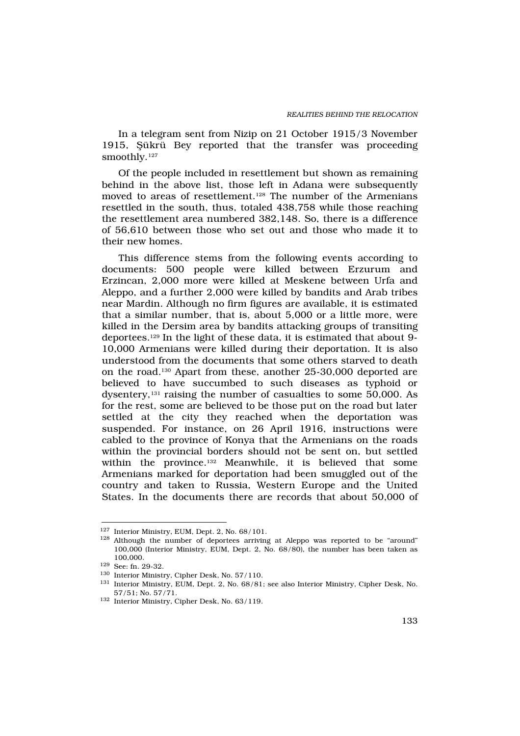In a telegram sent from Nizip on 21 October 1915/3 November 1915, fiükrü Bey reported that the transfer was proceeding smoothly.<sup>127</sup>

Of the people included in resettlement but shown as remaining behind in the above list, those left in Adana were subsequently moved to areas of resettlement.128 The number of the Armenians resettled in the south, thus, totaled 438,758 while those reaching the resettlement area numbered 382,148. So, there is a difference of 56,610 between those who set out and those who made it to their new homes.

This difference stems from the following events according to documents: 500 people were killed between Erzurum and Erzincan, 2,000 more were killed at Meskene between Urfa and Aleppo, and a further 2,000 were killed by bandits and Arab tribes near Mardin. Although no firm figures are available, it is estimated that a similar number, that is, about 5,000 or a little more, were killed in the Dersim area by bandits attacking groups of transiting deportees.129 In the light of these data, it is estimated that about 9- 10,000 Armenians were killed during their deportation. It is also understood from the documents that some others starved to death on the road.130 Apart from these, another 25-30,000 deported are believed to have succumbed to such diseases as typhoid or dysentery,131 raising the number of casualties to some 50,000. As for the rest, some are believed to be those put on the road but later settled at the city they reached when the deportation was suspended. For instance, on 26 April 1916, instructions were cabled to the province of Konya that the Armenians on the roads within the provincial borders should not be sent on, but settled within the province.132 Meanwhile, it is believed that some Armenians marked for deportation had been smuggled out of the country and taken to Russia, Western Europe and the United States. In the documents there are records that about 50,000 of

<sup>127</sup> Interior Ministry, EUM, Dept. 2, No. 68/101.

<sup>&</sup>lt;sup>128</sup> Although the number of deportees arriving at Aleppo was reported to be "around" 100,000 (Interior Ministry, EUM, Dept. 2, No. 68/80), the number has been taken as 100,000.

<sup>129</sup> See: fn. 29-32.

<sup>130</sup> Interior Ministry, Cipher Desk, No. 57/110.

<sup>131</sup> Interior Ministry, EUM, Dept. 2, No. 68/81; see also Interior Ministry, Cipher Desk, No. 57/51; No. 57/71.

<sup>132</sup> Interior Ministry, Cipher Desk, No. 63/119.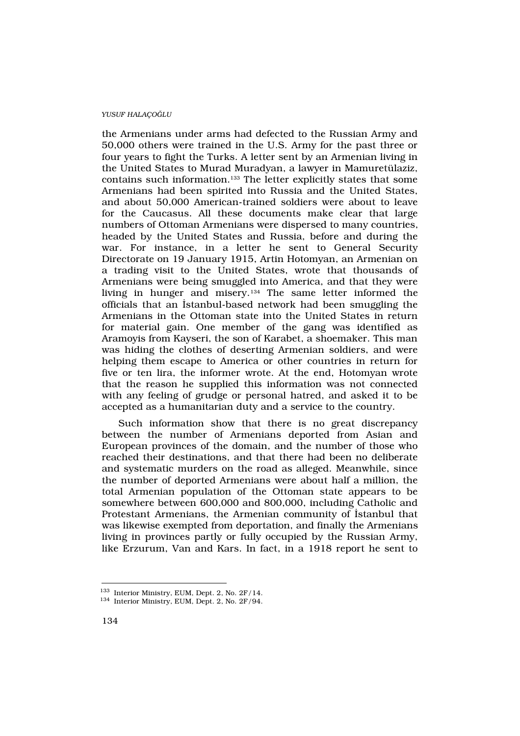the Armenians under arms had defected to the Russian Army and 50,000 others were trained in the U.S. Army for the past three or four years to fight the Turks. A letter sent by an Armenian living in the United States to Murad Muradyan, a lawyer in Mamuretülaziz, contains such information.133 The letter explicitly states that some Armenians had been spirited into Russia and the United States, and about 50,000 American-trained soldiers were about to leave for the Caucasus. All these documents make clear that large numbers of Ottoman Armenians were dispersed to many countries, headed by the United States and Russia, before and during the war. For instance, in a letter he sent to General Security Directorate on 19 January 1915, Artin Hotomyan, an Armenian on a trading visit to the United States, wrote that thousands of Armenians were being smuggled into America, and that they were living in hunger and misery.134 The same letter informed the officials that an ‹stanbul-based network had been smuggling the Armenians in the Ottoman state into the United States in return for material gain. One member of the gang was identified as Aramoyis from Kayseri, the son of Karabet, a shoemaker. This man was hiding the clothes of deserting Armenian soldiers, and were helping them escape to America or other countries in return for five or ten lira, the informer wrote. At the end, Hotomyan wrote that the reason he supplied this information was not connected with any feeling of grudge or personal hatred, and asked it to be accepted as a humanitarian duty and a service to the country.

Such information show that there is no great discrepancy between the number of Armenians deported from Asian and European provinces of the domain, and the number of those who reached their destinations, and that there had been no deliberate and systematic murders on the road as alleged. Meanwhile, since the number of deported Armenians were about half a million, the total Armenian population of the Ottoman state appears to be somewhere between 600,000 and 800,000, including Catholic and Protestant Armenians, the Armenian community of ‹stanbul that was likewise exempted from deportation, and finally the Armenians living in provinces partly or fully occupied by the Russian Army, like Erzurum, Van and Kars. In fact, in a 1918 report he sent to

<sup>133</sup> Interior Ministry, EUM, Dept. 2, No. 2F/14.

<sup>134</sup> Interior Ministry, EUM, Dept. 2, No. 2F/94.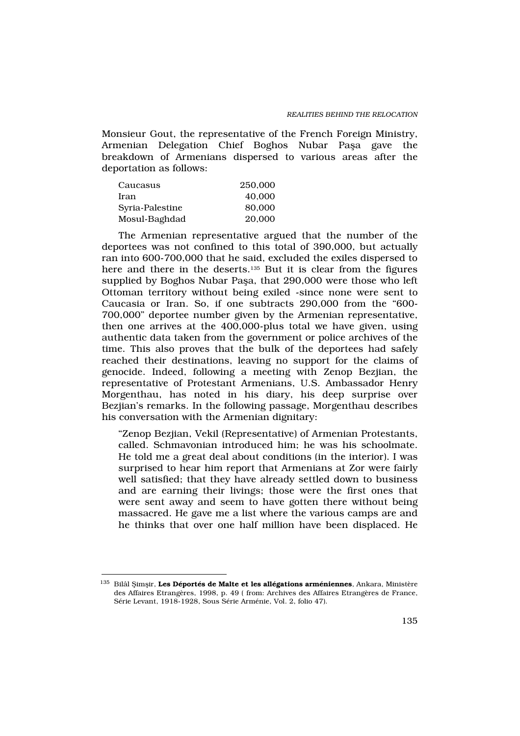Monsieur Gout, the representative of the French Foreign Ministry, Armenian Delegation Chief Boghos Nubar Pafla gave the breakdown of Armenians dispersed to various areas after the deportation as follows:

| 250,000 |
|---------|
| 40,000  |
| 80,000  |
| 20.000  |
|         |

The Armenian representative argued that the number of the deportees was not confined to this total of 390,000, but actually ran into 600-700,000 that he said, excluded the exiles dispersed to here and there in the deserts.135 But it is clear from the figures supplied by Boghos Nubar Pafla, that 290,000 were those who left Ottoman territory without being exiled -since none were sent to Caucasia or Iran. So, if one subtracts 290,000 from the "600- 700,000" deportee number given by the Armenian representative, then one arrives at the 400,000-plus total we have given, using authentic data taken from the government or police archives of the time. This also proves that the bulk of the deportees had safely reached their destinations, leaving no support for the claims of genocide. Indeed, following a meeting with Zenop Bezjian, the representative of Protestant Armenians, U.S. Ambassador Henry Morgenthau, has noted in his diary, his deep surprise over Bezjian's remarks. In the following passage, Morgenthau describes his conversation with the Armenian dignitary:

"Zenop Bezjian, Vekil (Representative) of Armenian Protestants, called. Schmavonian introduced him; he was his schoolmate. He told me a great deal about conditions (in the interior). I was surprised to hear him report that Armenians at Zor were fairly well satisfied; that they have already settled down to business and are earning their livings; those were the first ones that were sent away and seem to have gotten there without being massacred. He gave me a list where the various camps are and he thinks that over one half million have been displaced. He

<sup>&</sup>lt;sup>135</sup> Bilâl fiimflir, Les Déportés de Malte et les allégations arméniennes, Ankara, Ministère des Affaires Etrangères, 1998, p. 49 ( from: Archives des Affaires Etrangères de France, Série Levant, 1918-1928, Sous Série Arménie, Vol. 2, folio 47).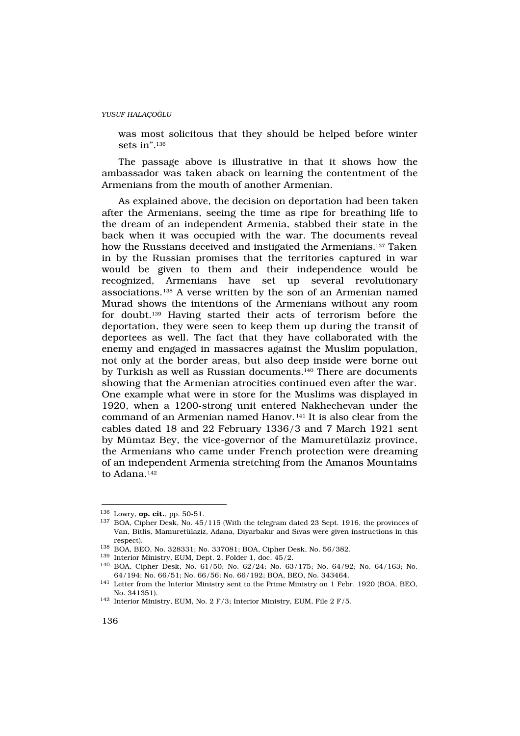was most solicitous that they should be helped before winter sets in".<sup>136</sup>

The passage above is illustrative in that it shows how the ambassador was taken aback on learning the contentment of the Armenians from the mouth of another Armenian.

As explained above, the decision on deportation had been taken after the Armenians, seeing the time as ripe for breathing life to the dream of an independent Armenia, stabbed their state in the back when it was occupied with the war. The documents reveal how the Russians deceived and instigated the Armenians.<sup>137</sup> Taken in by the Russian promises that the territories captured in war would be given to them and their independence would be recognized, Armenians have set up several revolutionary associations.138 A verse written by the son of an Armenian named Murad shows the intentions of the Armenians without any room for doubt.139 Having started their acts of terrorism before the deportation, they were seen to keep them up during the transit of deportees as well. The fact that they have collaborated with the enemy and engaged in massacres against the Muslim population, not only at the border areas, but also deep inside were borne out by Turkish as well as Russian documents.140 There are documents showing that the Armenian atrocities continued even after the war. One example what were in store for the Muslims was displayed in 1920, when a 1200-strong unit entered Nakhechevan under the command of an Armenian named Hanov. <sup>141</sup> It is also clear from the cables dated 18 and 22 February 1336/3 and 7 March 1921 sent by Mümtaz Bey, the vice-governor of the Mamuretülaziz province, the Armenians who came under French protection were dreaming of an independent Armenia stretching from the Amanos Mountains to Adana.<sup>142</sup>

<sup>136</sup> Lowry, op. cit., pp. 50-51.

<sup>137</sup> BOA, Cipher Desk, No. 45/115 (With the telegram dated 23 Sept. 1916, the provinces of Van, Bitlis, Mamuretülaziz, Adana, Diyarbakar and Sayas were given instructions in this respect).

<sup>138</sup> BOA, BEO, No. 328331; No. 337081; BOA, Cipher Desk, No. 56/382.

<sup>139</sup> Interior Ministry, EUM, Dept. 2, Folder 1, doc. 45/2.

<sup>140</sup> BOA, Cipher Desk, No. 61/50; No. 62/24; No. 63/175; No. 64/92; No. 64/163; No. 64/194; No. 66/51; No. 66/56; No. 66/192; BOA, BEO, No. 343464.

<sup>141</sup> Letter from the Interior Ministry sent to the Prime Ministry on 1 Febr. 1920 (BOA, BEO, No. 341351).

 $^{142}\,$  Interior Ministry, EUM, No. 2 F/3; Interior Ministry, EUM, File 2 F/5.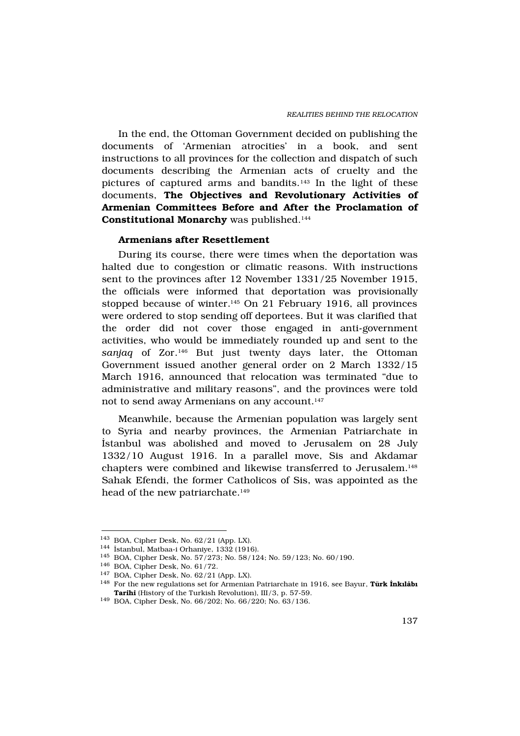In the end, the Ottoman Government decided on publishing the documents of 'Armenian atrocities' in a book, and sent instructions to all provinces for the collection and dispatch of such documents describing the Armenian acts of cruelty and the pictures of captured arms and bandits.<sup>143</sup> In the light of these documents, The Objectives and Revolutionary Activities of Armenian Committees Before and After the Proclamation of Constitutional Monarchy was published.<sup>144</sup>

### Armenians after Resettlement

During its course, there were times when the deportation was halted due to congestion or climatic reasons. With instructions sent to the provinces after 12 November 1331/25 November 1915, the officials were informed that deportation was provisionally stopped because of winter.<sup>145</sup> On 21 February 1916, all provinces were ordered to stop sending off deportees. But it was clarified that the order did not cover those engaged in anti-government activities, who would be immediately rounded up and sent to the sanjaq of Zor.<sup>146</sup> But just twenty days later, the Ottoman Government issued another general order on 2 March 1332/15 March 1916, announced that relocation was terminated "due to administrative and military reasons", and the provinces were told not to send away Armenians on any account.<sup>147</sup>

Meanwhile, because the Armenian population was largely sent to Syria and nearby provinces, the Armenian Patriarchate in ‹stanbul was abolished and moved to Jerusalem on 28 July 1332/10 August 1916. In a parallel move, Sis and Akdamar chapters were combined and likewise transferred to Jerusalem.<sup>148</sup> Sahak Efendi, the former Catholicos of Sis, was appointed as the head of the new patriarchate.<sup>149</sup>

<sup>143</sup> BOA, Cipher Desk, No. 62/21 (App. LX).

<sup>144</sup> ‹stanbul, Matbaa-i Orhaniye, 1332 (1916).

<sup>145</sup> BOA, Cipher Desk, No. 57/273; No. 58/124; No. 59/123; No. 60/190.

<sup>146</sup> BOA, Cipher Desk, No. 61/72.

<sup>147</sup> BOA, Cipher Desk, No. 62/21 (App. LX).

<sup>&</sup>lt;sup>148</sup> For the new regulations set for Armenian Patriarchate in 1916, see Bayur, Türk nk lâb Tarihi (History of the Turkish Revolution), III/3, p. 57-59.

<sup>149</sup> BOA, Cipher Desk, No. 66/202; No. 66/220; No. 63/136.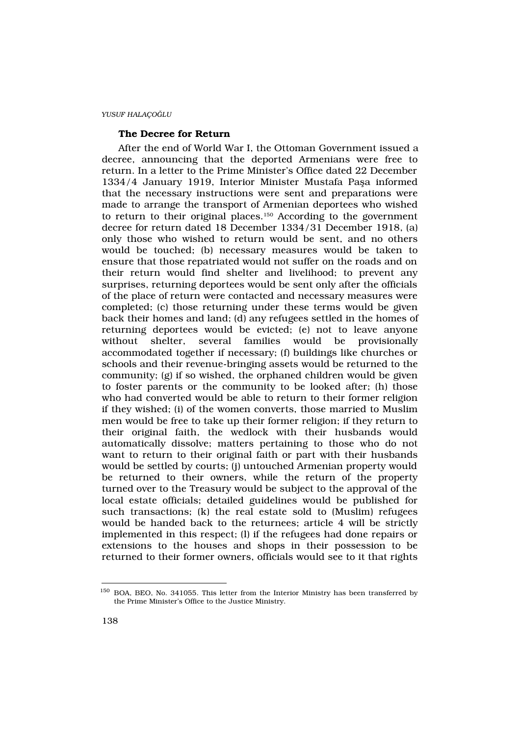### The Decree for Return

After the end of World War I, the Ottoman Government issued a decree, announcing that the deported Armenians were free to return. In a letter to the Prime Minister's Office dated 22 December 1334/4 January 1919, Interior Minister Mustafa Pafla informed that the necessary instructions were sent and preparations were made to arrange the transport of Armenian deportees who wished to return to their original places.150 According to the government decree for return dated 18 December 1334/31 December 1918, (a) only those who wished to return would be sent, and no others would be touched; (b) necessary measures would be taken to ensure that those repatriated would not suffer on the roads and on their return would find shelter and livelihood; to prevent any surprises, returning deportees would be sent only after the officials of the place of return were contacted and necessary measures were completed; (c) those returning under these terms would be given back their homes and land; (d) any refugees settled in the homes of returning deportees would be evicted; (e) not to leave anyone without shelter, several families would be provisionally accommodated together if necessary; (f) buildings like churches or schools and their revenue-bringing assets would be returned to the community; (g) if so wished, the orphaned children would be given to foster parents or the community to be looked after; (h) those who had converted would be able to return to their former religion if they wished; (i) of the women converts, those married to Muslim men would be free to take up their former religion; if they return to their original faith, the wedlock with their husbands would automatically dissolve; matters pertaining to those who do not want to return to their original faith or part with their husbands would be settled by courts; (j) untouched Armenian property would be returned to their owners, while the return of the property turned over to the Treasury would be subject to the approval of the local estate officials; detailed guidelines would be published for such transactions; (k) the real estate sold to (Muslim) refugees would be handed back to the returnees; article 4 will be strictly implemented in this respect; (l) if the refugees had done repairs or extensions to the houses and shops in their possession to be returned to their former owners, officials would see to it that rights

<sup>150</sup> BOA, BEO, No. 341055. This letter from the Interior Ministry has been transferred by the Prime Minister's Office to the Justice Ministry.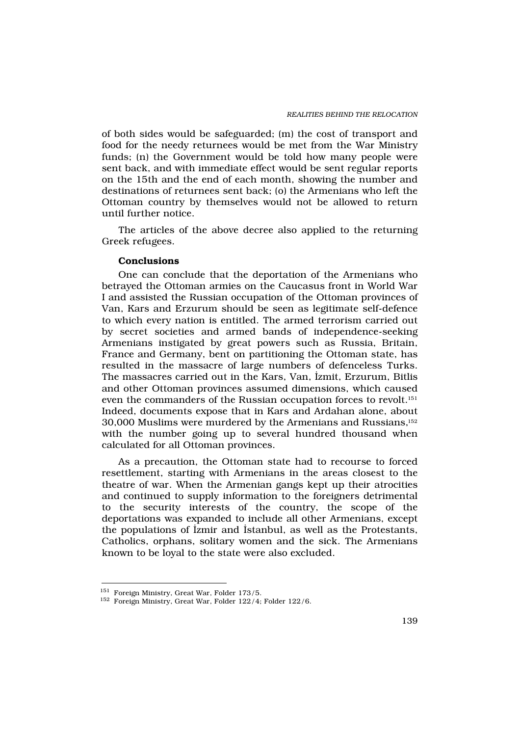of both sides would be safeguarded; (m) the cost of transport and food for the needy returnees would be met from the War Ministry funds; (n) the Government would be told how many people were sent back, and with immediate effect would be sent regular reports on the 15th and the end of each month, showing the number and destinations of returnees sent back; (o) the Armenians who left the Ottoman country by themselves would not be allowed to return until further notice.

The articles of the above decree also applied to the returning Greek refugees.

### **Conclusions**

One can conclude that the deportation of the Armenians who betrayed the Ottoman armies on the Caucasus front in World War I and assisted the Russian occupation of the Ottoman provinces of Van, Kars and Erzurum should be seen as legitimate self-defence to which every nation is entitled. The armed terrorism carried out by secret societies and armed bands of independence-seeking Armenians instigated by great powers such as Russia, Britain, France and Germany, bent on partitioning the Ottoman state, has resulted in the massacre of large numbers of defenceless Turks. The massacres carried out in the Kars, Van, ‹zmit, Erzurum, Bitlis and other Ottoman provinces assumed dimensions, which caused even the commanders of the Russian occupation forces to revolt.<sup>151</sup> Indeed, documents expose that in Kars and Ardahan alone, about 30,000 Muslims were murdered by the Armenians and Russians,<sup>152</sup> with the number going up to several hundred thousand when calculated for all Ottoman provinces.

As a precaution, the Ottoman state had to recourse to forced resettlement, starting with Armenians in the areas closest to the theatre of war. When the Armenian gangs kept up their atrocities and continued to supply information to the foreigners detrimental to the security interests of the country, the scope of the deportations was expanded to include all other Armenians, except the populations of ‹zmir and ‹stanbul, as well as the Protestants, Catholics, orphans, solitary women and the sick. The Armenians known to be loyal to the state were also excluded.

<sup>151</sup> Foreign Ministry, Great War, Folder 173/5.

<sup>152</sup> Foreign Ministry, Great War, Folder 122/4; Folder 122/6.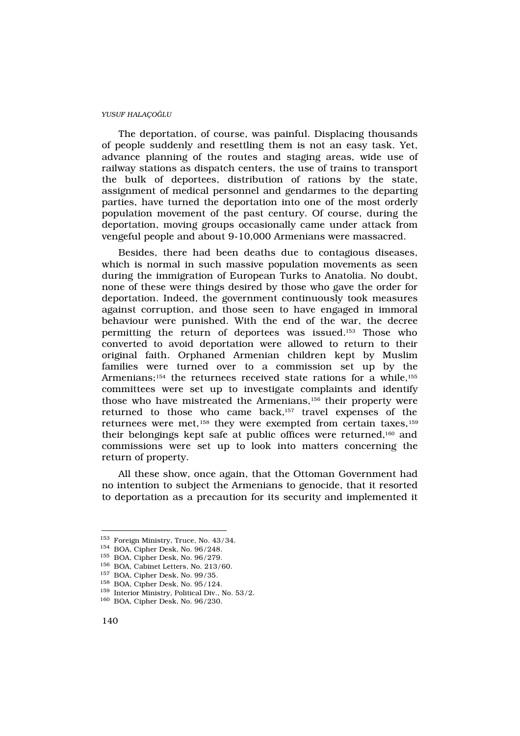The deportation, of course, was painful. Displacing thousands of people suddenly and resettling them is not an easy task. Yet, advance planning of the routes and staging areas, wide use of railway stations as dispatch centers, the use of trains to transport the bulk of deportees, distribution of rations by the state, assignment of medical personnel and gendarmes to the departing parties, have turned the deportation into one of the most orderly population movement of the past century. Of course, during the deportation, moving groups occasionally came under attack from vengeful people and about 9-10,000 Armenians were massacred.

Besides, there had been deaths due to contagious diseases, which is normal in such massive population movements as seen during the immigration of European Turks to Anatolia. No doubt, none of these were things desired by those who gave the order for deportation. Indeed, the government continuously took measures against corruption, and those seen to have engaged in immoral behaviour were punished. With the end of the war, the decree permitting the return of deportees was issued.153 Those who converted to avoid deportation were allowed to return to their original faith. Orphaned Armenian children kept by Muslim families were turned over to a commission set up by the Armenians;<sup>154</sup> the returnees received state rations for a while,<sup>155</sup> committees were set up to investigate complaints and identify those who have mistreated the Armenians,<sup>156</sup> their property were returned to those who came back,157 travel expenses of the returnees were met,<sup>158</sup> they were exempted from certain taxes,<sup>159</sup> their belongings kept safe at public offices were returned,160 and commissions were set up to look into matters concerning the return of property.

All these show, once again, that the Ottoman Government had no intention to subject the Armenians to genocide, that it resorted to deportation as a precaution for its security and implemented it

<sup>153</sup> Foreign Ministry, Truce, No. 43/34.

<sup>154</sup> BOA, Cipher Desk, No. 96/248.

<sup>155</sup> BOA, Cipher Desk, No. 96/279.

<sup>156</sup> BOA, Cabinet Letters, No. 213/60.

<sup>157</sup> BOA, Cipher Desk, No. 99/35.

<sup>158</sup> BOA, Cipher Desk, No. 95/124.

<sup>159</sup> Interior Ministry, Political Div., No. 53/2.

<sup>160</sup> BOA, Cipher Desk, No. 96/230.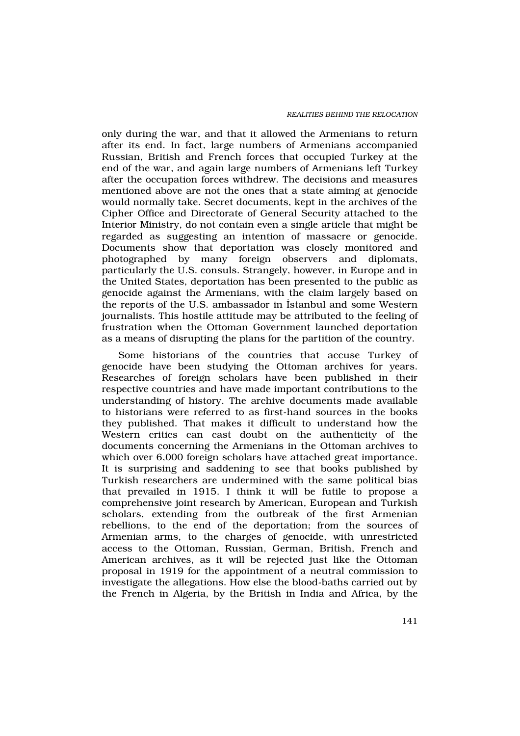only during the war, and that it allowed the Armenians to return after its end. In fact, large numbers of Armenians accompanied Russian, British and French forces that occupied Turkey at the end of the war, and again large numbers of Armenians left Turkey after the occupation forces withdrew. The decisions and measures mentioned above are not the ones that a state aiming at genocide would normally take. Secret documents, kept in the archives of the Cipher Office and Directorate of General Security attached to the Interior Ministry, do not contain even a single article that might be regarded as suggesting an intention of massacre or genocide. Documents show that deportation was closely monitored and photographed by many foreign observers and diplomats, particularly the U.S. consuls. Strangely, however, in Europe and in the United States, deportation has been presented to the public as genocide against the Armenians, with the claim largely based on the reports of the U.S. ambassador in ‹stanbul and some Western journalists. This hostile attitude may be attributed to the feeling of frustration when the Ottoman Government launched deportation as a means of disrupting the plans for the partition of the country.

Some historians of the countries that accuse Turkey of genocide have been studying the Ottoman archives for years. Researches of foreign scholars have been published in their respective countries and have made important contributions to the understanding of history. The archive documents made available to historians were referred to as first-hand sources in the books they published. That makes it difficult to understand how the Western critics can cast doubt on the authenticity of the documents concerning the Armenians in the Ottoman archives to which over 6,000 foreign scholars have attached great importance. It is surprising and saddening to see that books published by Turkish researchers are undermined with the same political bias that prevailed in 1915. I think it will be futile to propose a comprehensive joint research by American, European and Turkish scholars, extending from the outbreak of the first Armenian rebellions, to the end of the deportation; from the sources of Armenian arms, to the charges of genocide, with unrestricted access to the Ottoman, Russian, German, British, French and American archives, as it will be rejected just like the Ottoman proposal in 1919 for the appointment of a neutral commission to investigate the allegations. How else the blood-baths carried out by the French in Algeria, by the British in India and Africa, by the